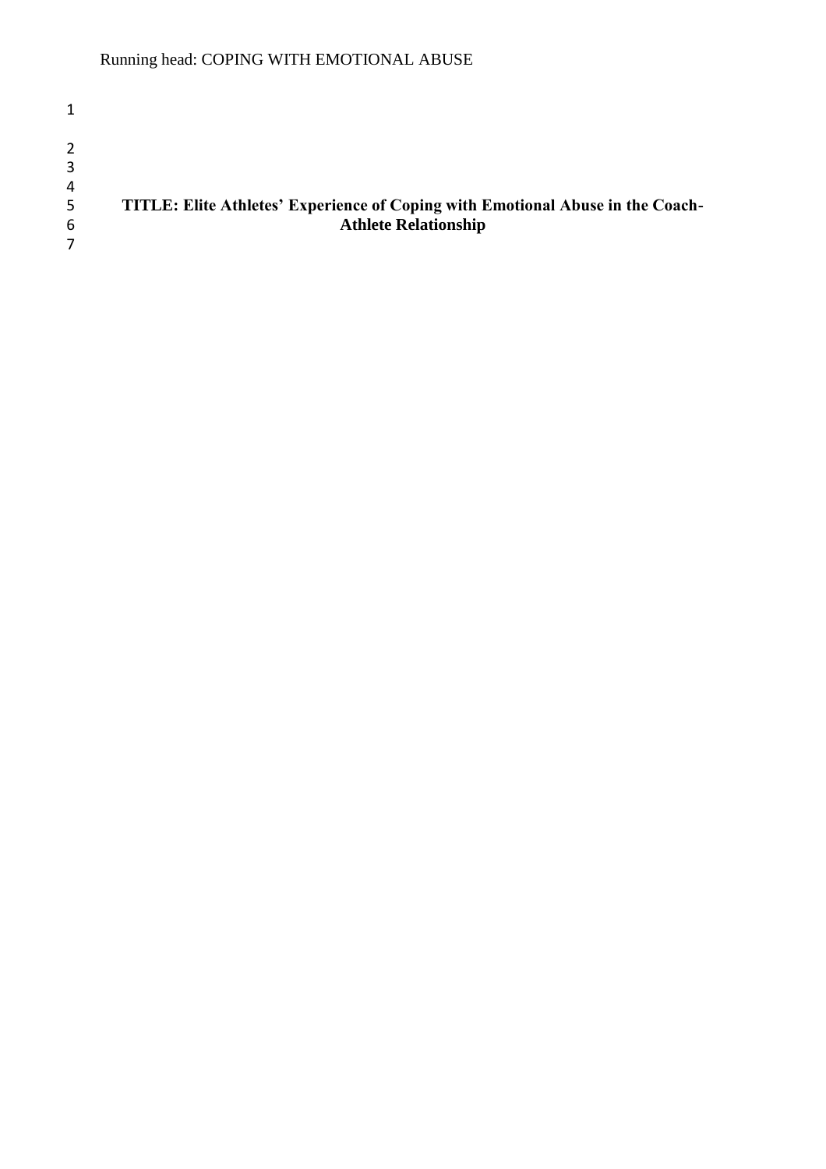| 1 |                                                                                       |
|---|---------------------------------------------------------------------------------------|
| 2 |                                                                                       |
| 3 |                                                                                       |
| 4 |                                                                                       |
| 5 | <b>TITLE: Elite Athletes' Experience of Coping with Emotional Abuse in the Coach-</b> |
| 6 | <b>Athlete Relationship</b>                                                           |
|   |                                                                                       |
|   |                                                                                       |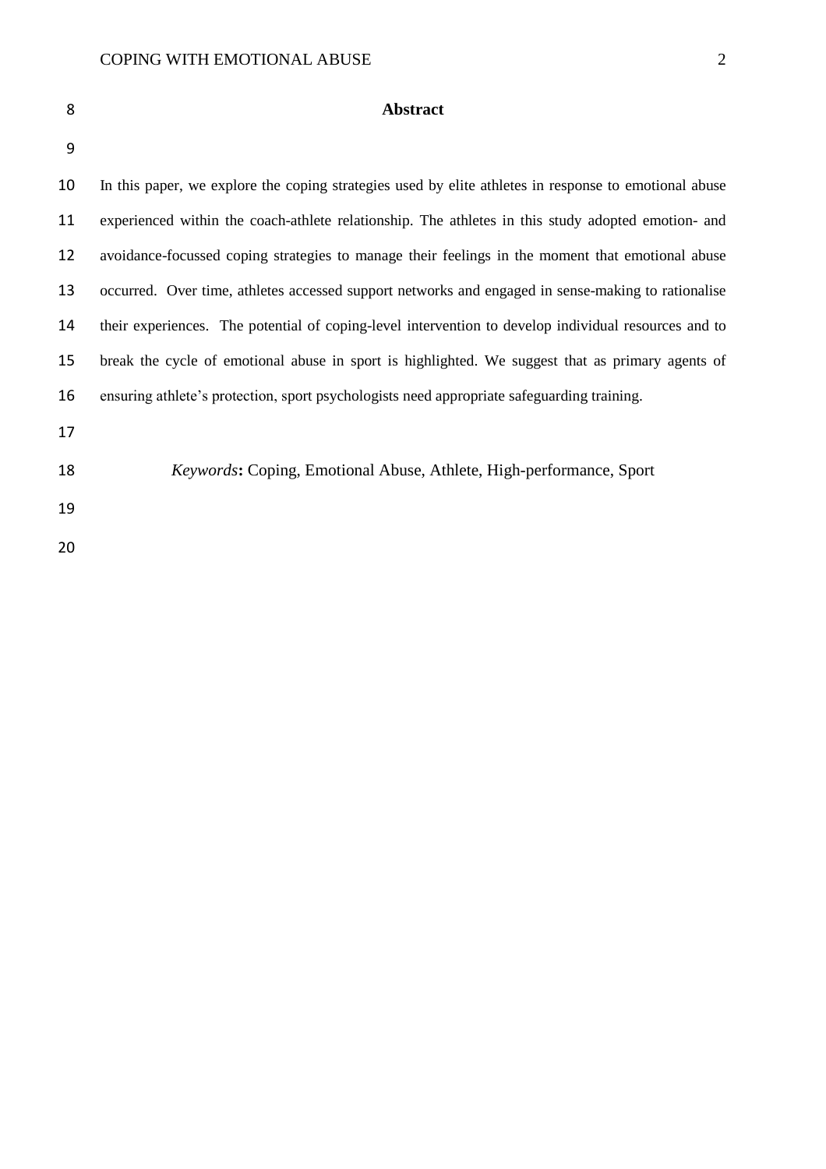|  | ×,            |  |
|--|---------------|--|
|  |               |  |
|  | ٠<br>۰.<br>۰. |  |
|  |               |  |

#### **Abstract**

 In this paper, we explore the coping strategies used by elite athletes in response to emotional abuse experienced within the coach-athlete relationship. The athletes in this study adopted emotion- and avoidance-focussed coping strategies to manage their feelings in the moment that emotional abuse occurred. Over time, athletes accessed support networks and engaged in sense-making to rationalise their experiences. The potential of coping-level intervention to develop individual resources and to break the cycle of emotional abuse in sport is highlighted. We suggest that as primary agents of ensuring athlete's protection, sport psychologists need appropriate safeguarding training. *Keywords***:** Coping, Emotional Abuse, Athlete, High-performance, Sport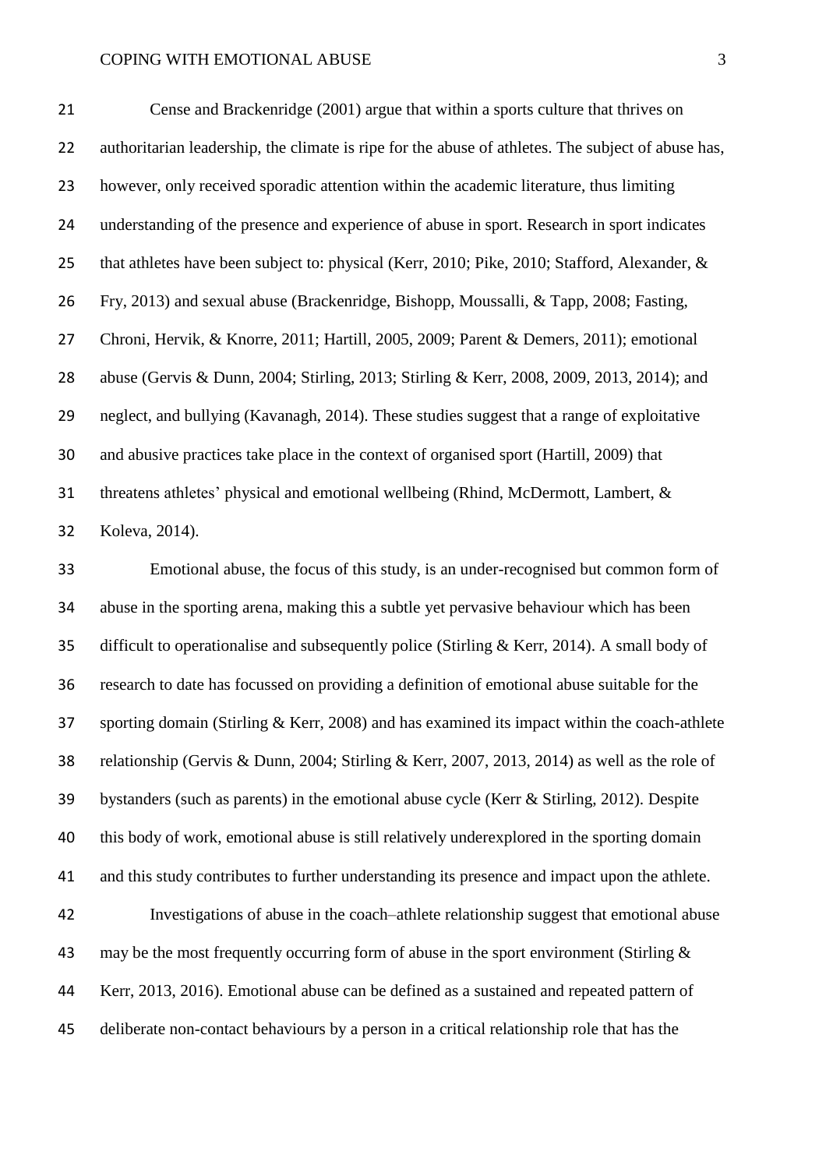Cense and Brackenridge (2001) argue that within a sports culture that thrives on 22 authoritarian leadership, the climate is ripe for the abuse of athletes. The subject of abuse has, however, only received sporadic attention within the academic literature, thus limiting understanding of the presence and experience of abuse in sport. Research in sport indicates 25 that athletes have been subject to: physical (Kerr, 2010; Pike, 2010; Stafford, Alexander, & Fry, 2013) and sexual abuse (Brackenridge, Bishopp, Moussalli, & Tapp, 2008; Fasting, Chroni, Hervik, & Knorre, 2011; Hartill, 2005, 2009; Parent & Demers, 2011); emotional abuse (Gervis & Dunn, 2004; Stirling, 2013; Stirling & Kerr, 2008, 2009, 2013, 2014); and neglect, and bullying (Kavanagh, 2014). These studies suggest that a range of exploitative and abusive practices take place in the context of organised sport (Hartill, 2009) that threatens athletes' physical and emotional wellbeing (Rhind, McDermott, Lambert, & Koleva, 2014).

 Emotional abuse, the focus of this study, is an under-recognised but common form of abuse in the sporting arena, making this a subtle yet pervasive behaviour which has been difficult to operationalise and subsequently police (Stirling & Kerr, 2014). A small body of research to date has focussed on providing a definition of emotional abuse suitable for the sporting domain (Stirling & Kerr, 2008) and has examined its impact within the coach-athlete relationship (Gervis & Dunn, 2004; Stirling & Kerr, 2007, 2013, 2014) as well as the role of bystanders (such as parents) in the emotional abuse cycle (Kerr & Stirling, 2012). Despite this body of work, emotional abuse is still relatively underexplored in the sporting domain and this study contributes to further understanding its presence and impact upon the athlete. Investigations of abuse in the coach–athlete relationship suggest that emotional abuse 43 may be the most frequently occurring form of abuse in the sport environment (Stirling  $\&$  Kerr, 2013, 2016). Emotional abuse can be defined as a sustained and repeated pattern of deliberate non-contact behaviours by a person in a critical relationship role that has the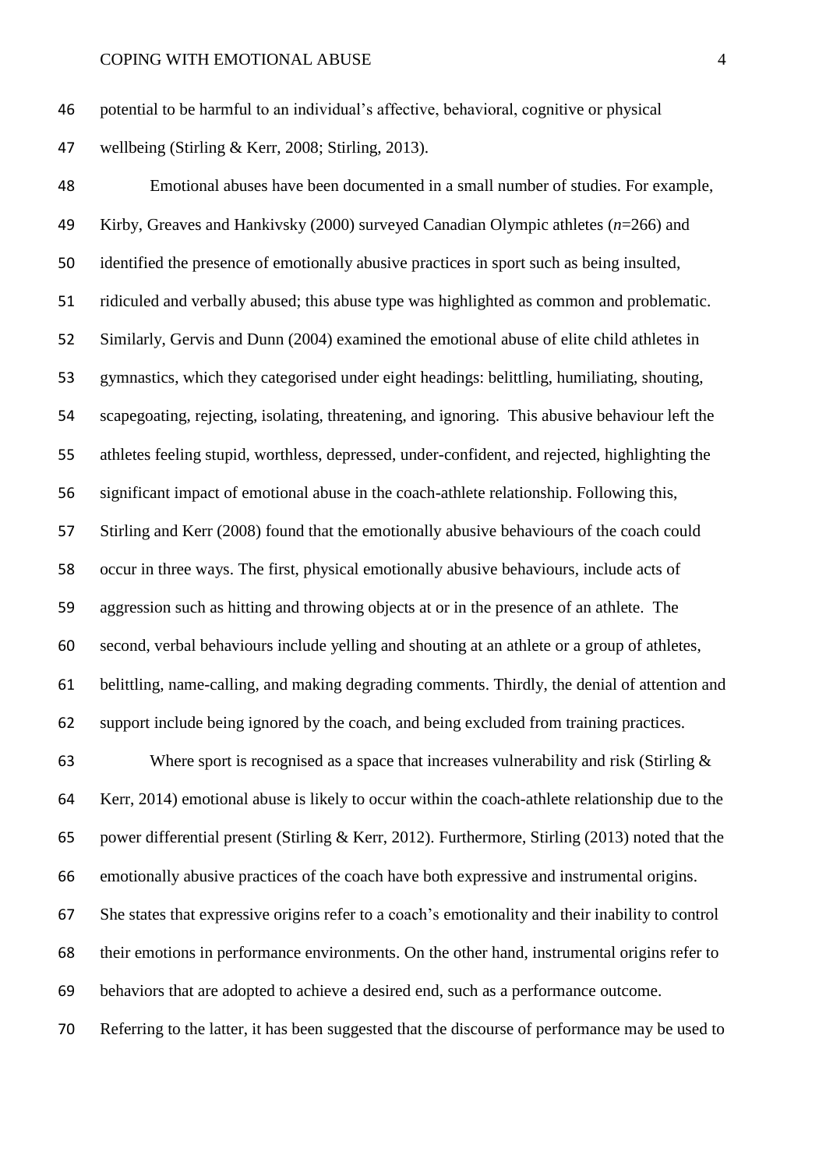potential to be harmful to an individual's affective, behavioral, cognitive or physical wellbeing (Stirling & Kerr, 2008; Stirling, 2013).

 Emotional abuses have been documented in a small number of studies. For example, Kirby, Greaves and Hankivsky (2000) surveyed Canadian Olympic athletes (*n*=266) and identified the presence of emotionally abusive practices in sport such as being insulted, ridiculed and verbally abused; this abuse type was highlighted as common and problematic. Similarly, Gervis and Dunn (2004) examined the emotional abuse of elite child athletes in gymnastics, which they categorised under eight headings: belittling, humiliating, shouting, scapegoating, rejecting, isolating, threatening, and ignoring. This abusive behaviour left the athletes feeling stupid, worthless, depressed, under-confident, and rejected, highlighting the significant impact of emotional abuse in the coach-athlete relationship. Following this, Stirling and Kerr (2008) found that the emotionally abusive behaviours of the coach could occur in three ways. The first, physical emotionally abusive behaviours, include acts of aggression such as hitting and throwing objects at or in the presence of an athlete. The second, verbal behaviours include yelling and shouting at an athlete or a group of athletes, belittling, name-calling, and making degrading comments. Thirdly, the denial of attention and support include being ignored by the coach, and being excluded from training practices. 63 Where sport is recognised as a space that increases vulnerability and risk (Stirling & Kerr, 2014) emotional abuse is likely to occur within the coach-athlete relationship due to the

power differential present (Stirling & Kerr, 2012). Furthermore, Stirling (2013) noted that the

emotionally abusive practices of the coach have both expressive and instrumental origins.

 She states that expressive origins refer to a coach's emotionality and their inability to control their emotions in performance environments. On the other hand, instrumental origins refer to

behaviors that are adopted to achieve a desired end, such as a performance outcome.

Referring to the latter, it has been suggested that the discourse of performance may be used to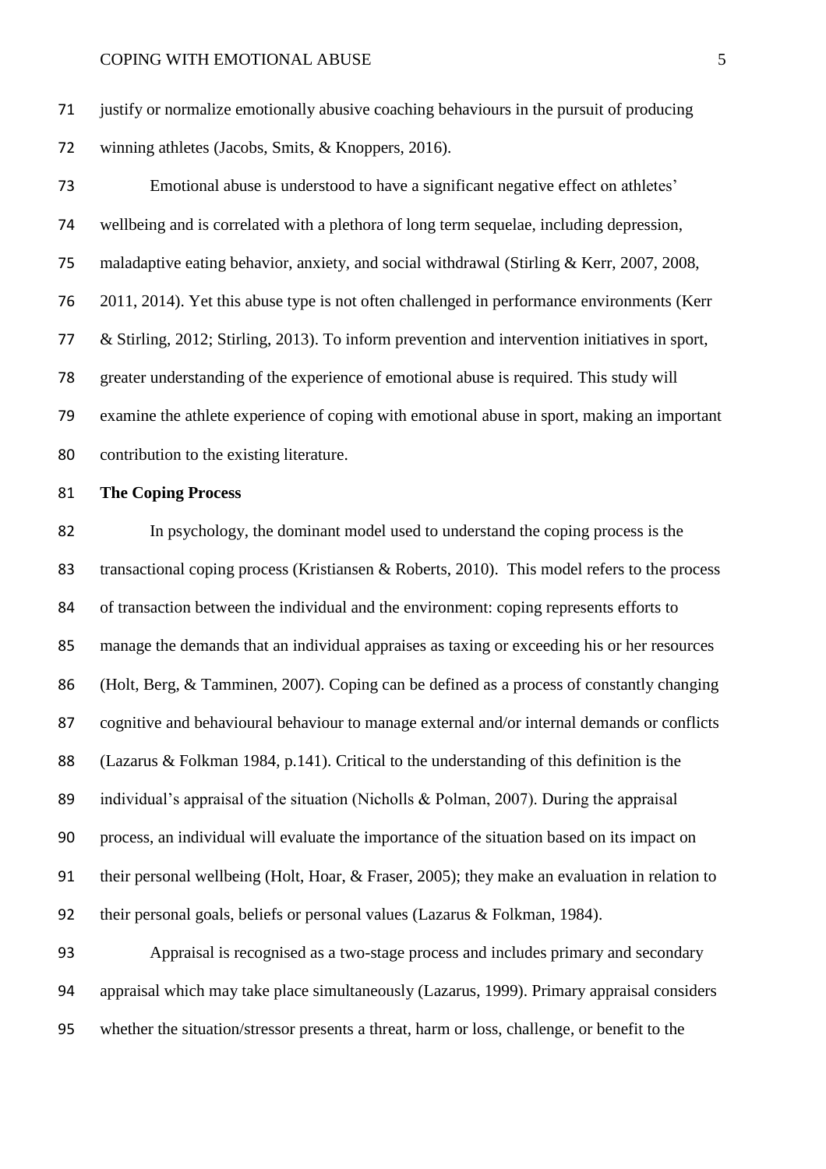justify or normalize emotionally abusive coaching behaviours in the pursuit of producing winning athletes (Jacobs, Smits, & Knoppers, 2016).

 Emotional abuse is understood to have a significant negative effect on athletes' wellbeing and is correlated with a plethora of long term sequelae, including depression, maladaptive eating behavior, anxiety, and social withdrawal (Stirling & Kerr, 2007, 2008, 2011, 2014). Yet this abuse type is not often challenged in performance environments (Kerr & Stirling, 2012; Stirling, 2013). To inform prevention and intervention initiatives in sport, greater understanding of the experience of emotional abuse is required. This study will examine the athlete experience of coping with emotional abuse in sport, making an important contribution to the existing literature.

# **The Coping Process**

 In psychology, the dominant model used to understand the coping process is the 83 transactional coping process (Kristiansen & Roberts, 2010). This model refers to the process of transaction between the individual and the environment: coping represents efforts to manage the demands that an individual appraises as taxing or exceeding his or her resources (Holt, Berg, & Tamminen, 2007). Coping can be defined as a process of constantly changing cognitive and behavioural behaviour to manage external and/or internal demands or conflicts (Lazarus & Folkman 1984, p.141). Critical to the understanding of this definition is the individual's appraisal of the situation (Nicholls & Polman, 2007). During the appraisal process, an individual will evaluate the importance of the situation based on its impact on their personal wellbeing (Holt, Hoar, & Fraser, 2005); they make an evaluation in relation to their personal goals, beliefs or personal values (Lazarus & Folkman, 1984).

 Appraisal is recognised as a two-stage process and includes primary and secondary appraisal which may take place simultaneously (Lazarus, 1999). Primary appraisal considers whether the situation/stressor presents a threat, harm or loss, challenge, or benefit to the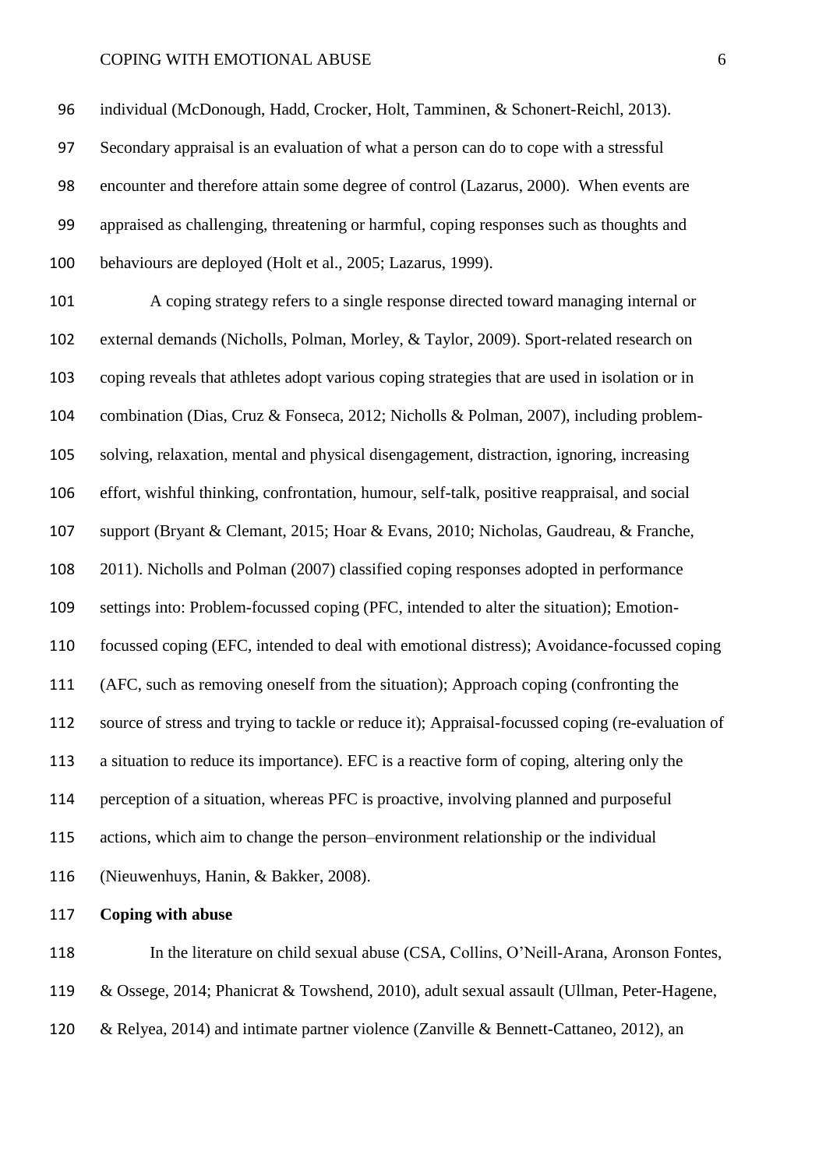individual (McDonough, Hadd, Crocker, Holt, Tamminen, & Schonert-Reichl, 2013).

 Secondary appraisal is an evaluation of what a person can do to cope with a stressful encounter and therefore attain some degree of control (Lazarus, 2000). When events are appraised as challenging, threatening or harmful, coping responses such as thoughts and behaviours are deployed (Holt et al., 2005; Lazarus, 1999).

 A coping strategy refers to a single response directed toward managing internal or external demands (Nicholls, Polman, Morley, & Taylor, 2009). Sport-related research on coping reveals that athletes adopt various coping strategies that are used in isolation or in combination (Dias, Cruz & Fonseca, 2012; Nicholls & Polman, 2007), including problem- solving, relaxation, mental and physical disengagement, distraction, ignoring, increasing effort, wishful thinking, confrontation, humour, self-talk, positive reappraisal, and social support (Bryant & Clemant, 2015; Hoar & Evans, 2010; Nicholas, Gaudreau, & Franche, 2011). Nicholls and Polman (2007) classified coping responses adopted in performance settings into: Problem-focussed coping (PFC, intended to alter the situation); Emotion- focussed coping (EFC, intended to deal with emotional distress); Avoidance-focussed coping (AFC, such as removing oneself from the situation); Approach coping (confronting the source of stress and trying to tackle or reduce it); Appraisal-focussed coping (re-evaluation of a situation to reduce its importance). EFC is a reactive form of coping, altering only the perception of a situation, whereas PFC is proactive, involving planned and purposeful actions, which aim to change the person–environment relationship or the individual (Nieuwenhuys, Hanin, & Bakker, 2008).

**Coping with abuse**

118 In the literature on child sexual abuse (CSA, Collins, O'Neill-Arana, Aronson Fontes, & Ossege, 2014; Phanicrat & Towshend, 2010), adult sexual assault (Ullman, Peter-Hagene, & Relyea, 2014) and intimate partner violence (Zanville & Bennett-Cattaneo, 2012), an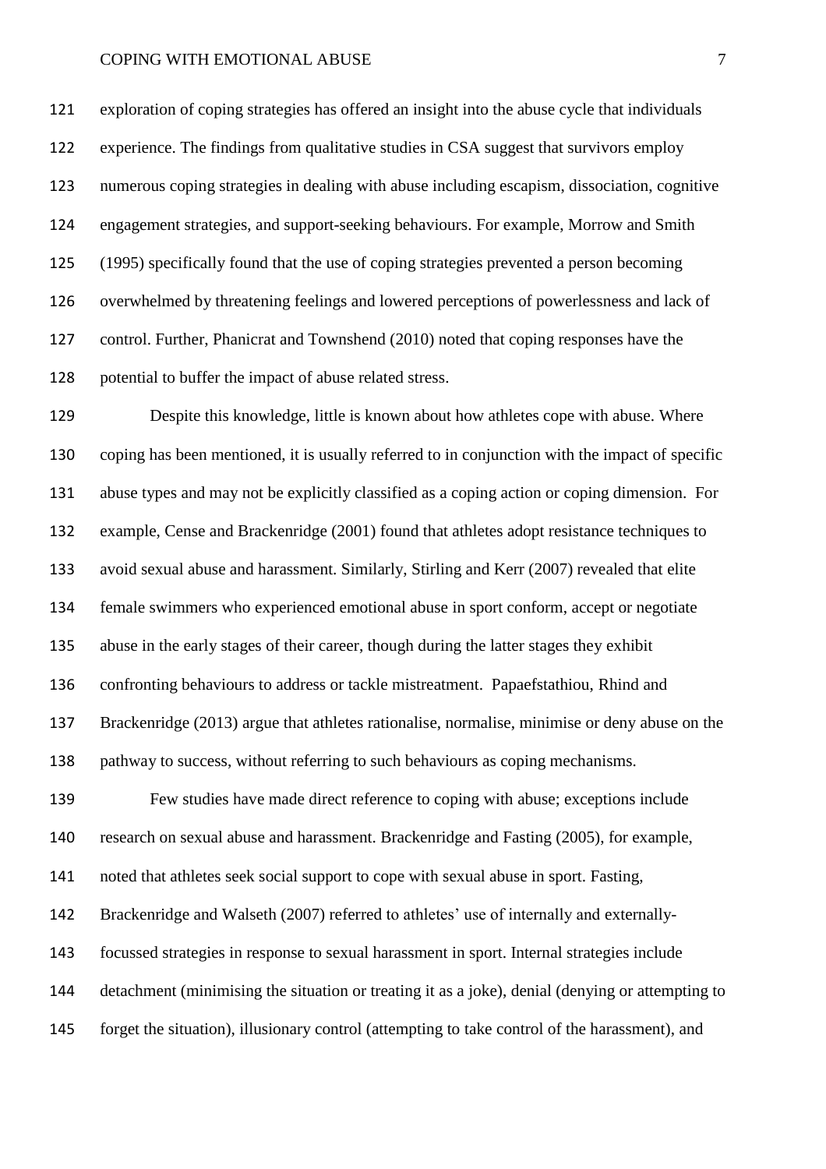exploration of coping strategies has offered an insight into the abuse cycle that individuals experience. The findings from qualitative studies in CSA suggest that survivors employ numerous coping strategies in dealing with abuse including escapism, dissociation, cognitive engagement strategies, and support-seeking behaviours. For example, Morrow and Smith (1995) specifically found that the use of coping strategies prevented a person becoming overwhelmed by threatening feelings and lowered perceptions of powerlessness and lack of control. Further, Phanicrat and Townshend (2010) noted that coping responses have the potential to buffer the impact of abuse related stress.

 Despite this knowledge, little is known about how athletes cope with abuse. Where coping has been mentioned, it is usually referred to in conjunction with the impact of specific abuse types and may not be explicitly classified as a coping action or coping dimension. For example, Cense and Brackenridge (2001) found that athletes adopt resistance techniques to avoid sexual abuse and harassment. Similarly, Stirling and Kerr (2007) revealed that elite female swimmers who experienced emotional abuse in sport conform, accept or negotiate abuse in the early stages of their career, though during the latter stages they exhibit confronting behaviours to address or tackle mistreatment. Papaefstathiou, Rhind and Brackenridge (2013) argue that athletes rationalise, normalise, minimise or deny abuse on the pathway to success, without referring to such behaviours as coping mechanisms. Few studies have made direct reference to coping with abuse; exceptions include research on sexual abuse and harassment. Brackenridge and Fasting (2005), for example,

noted that athletes seek social support to cope with sexual abuse in sport. Fasting,

Brackenridge and Walseth (2007) referred to athletes' use of internally and externally-

focussed strategies in response to sexual harassment in sport. Internal strategies include

detachment (minimising the situation or treating it as a joke), denial (denying or attempting to

forget the situation), illusionary control (attempting to take control of the harassment), and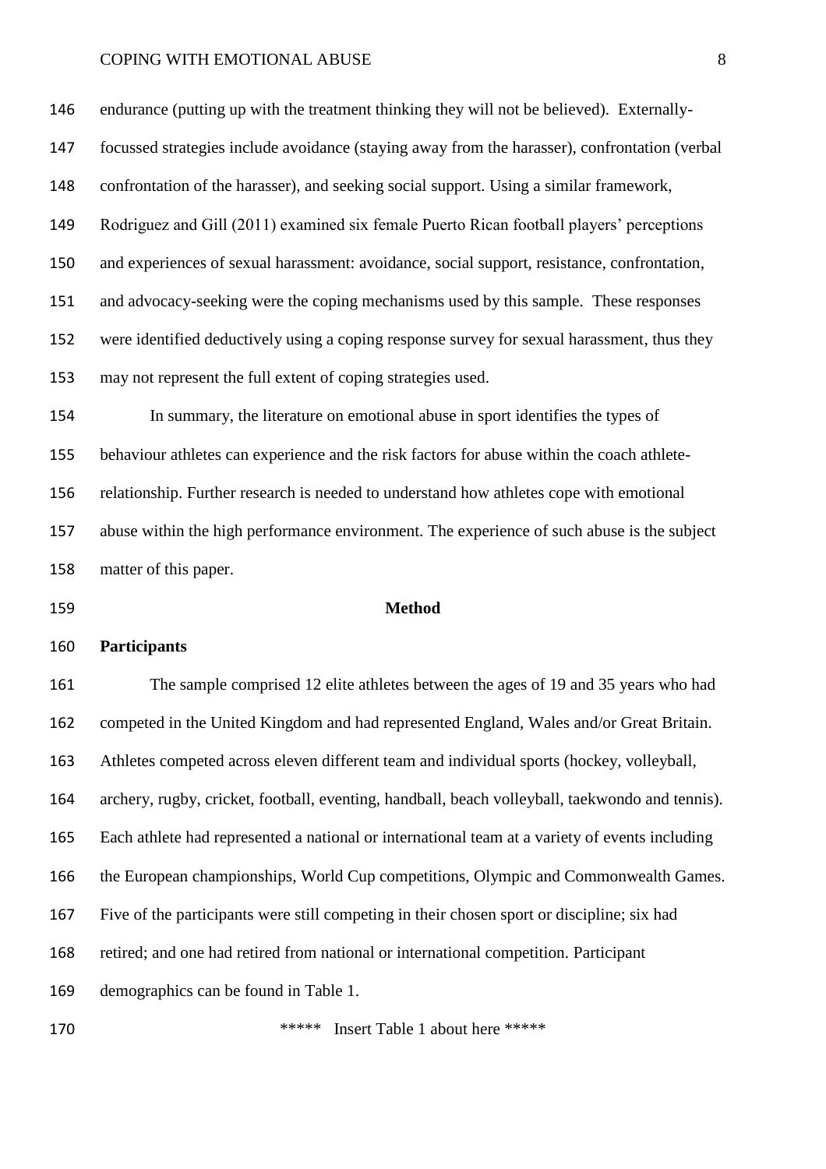endurance (putting up with the treatment thinking they will not be believed). Externally- focussed strategies include avoidance (staying away from the harasser), confrontation (verbal confrontation of the harasser), and seeking social support. Using a similar framework, Rodriguez and Gill (2011) examined six female Puerto Rican football players' perceptions and experiences of sexual harassment: avoidance, social support, resistance, confrontation, and advocacy-seeking were the coping mechanisms used by this sample. These responses were identified deductively using a coping response survey for sexual harassment, thus they may not represent the full extent of coping strategies used.

 In summary, the literature on emotional abuse in sport identifies the types of behaviour athletes can experience and the risk factors for abuse within the coach athlete- relationship. Further research is needed to understand how athletes cope with emotional abuse within the high performance environment. The experience of such abuse is the subject matter of this paper.

**Method**

#### **Participants**

 The sample comprised 12 elite athletes between the ages of 19 and 35 years who had competed in the United Kingdom and had represented England, Wales and/or Great Britain. Athletes competed across eleven different team and individual sports (hockey, volleyball, archery, rugby, cricket, football, eventing, handball, beach volleyball, taekwondo and tennis). Each athlete had represented a national or international team at a variety of events including the European championships, World Cup competitions, Olympic and Commonwealth Games. Five of the participants were still competing in their chosen sport or discipline; six had retired; and one had retired from national or international competition. Participant demographics can be found in Table 1.

170 \*\*\*\*\*\* Insert Table 1 about here \*\*\*\*\*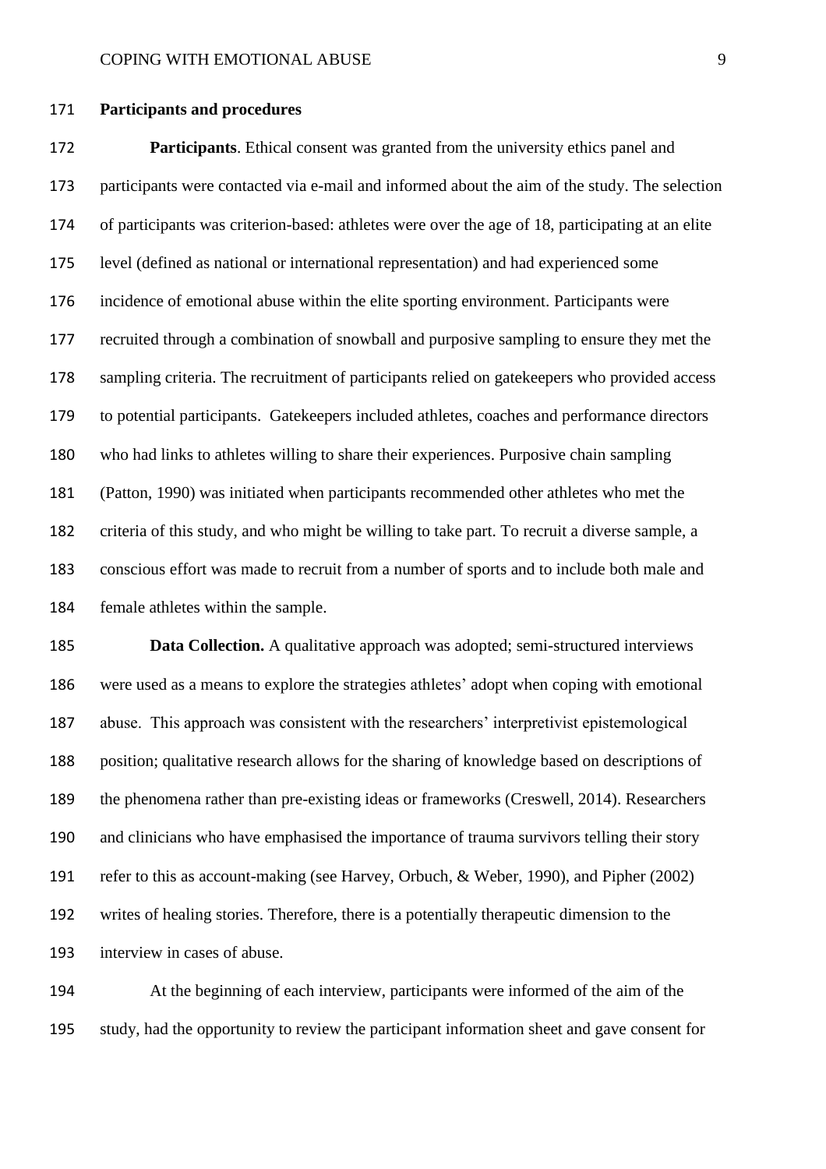## **Participants and procedures**

 **Participants**. Ethical consent was granted from the university ethics panel and participants were contacted via e-mail and informed about the aim of the study. The selection of participants was criterion-based: athletes were over the age of 18, participating at an elite level (defined as national or international representation) and had experienced some incidence of emotional abuse within the elite sporting environment. Participants were recruited through a combination of snowball and purposive sampling to ensure they met the sampling criteria. The recruitment of participants relied on gatekeepers who provided access to potential participants. Gatekeepers included athletes, coaches and performance directors who had links to athletes willing to share their experiences. Purposive chain sampling (Patton, 1990) was initiated when participants recommended other athletes who met the criteria of this study, and who might be willing to take part. To recruit a diverse sample, a conscious effort was made to recruit from a number of sports and to include both male and female athletes within the sample.

**Data Collection.** A qualitative approach was adopted; semi-structured interviews were used as a means to explore the strategies athletes' adopt when coping with emotional abuse. This approach was consistent with the researchers' interpretivist epistemological position; qualitative research allows for the sharing of knowledge based on descriptions of the phenomena rather than pre-existing ideas or frameworks (Creswell, 2014). Researchers and clinicians who have emphasised the importance of trauma survivors telling their story refer to this as account-making (see Harvey, Orbuch, & Weber, 1990), and Pipher (2002) writes of healing stories. Therefore, there is a potentially therapeutic dimension to the interview in cases of abuse.

 At the beginning of each interview, participants were informed of the aim of the study, had the opportunity to review the participant information sheet and gave consent for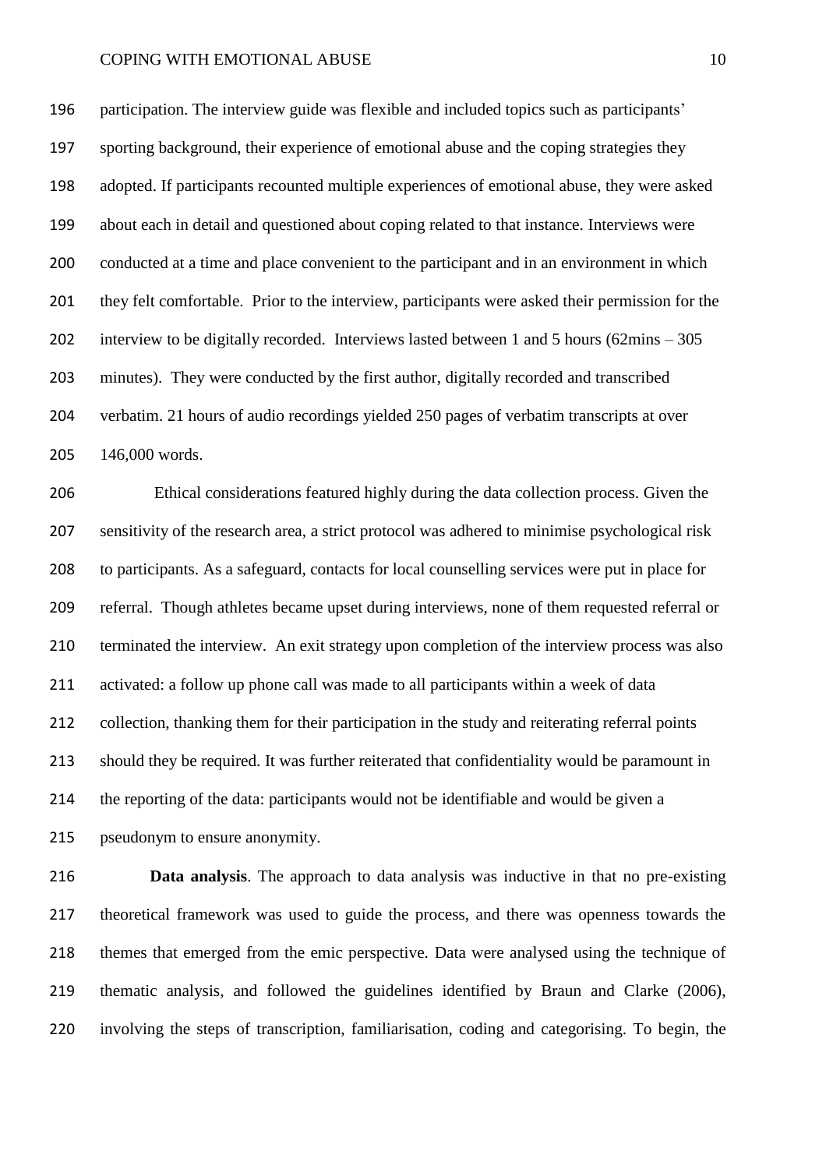participation. The interview guide was flexible and included topics such as participants' sporting background, their experience of emotional abuse and the coping strategies they adopted. If participants recounted multiple experiences of emotional abuse, they were asked about each in detail and questioned about coping related to that instance. Interviews were conducted at a time and place convenient to the participant and in an environment in which they felt comfortable. Prior to the interview, participants were asked their permission for the interview to be digitally recorded. Interviews lasted between 1 and 5 hours (62mins – 305 minutes). They were conducted by the first author, digitally recorded and transcribed verbatim. 21 hours of audio recordings yielded 250 pages of verbatim transcripts at over 146,000 words.

 Ethical considerations featured highly during the data collection process. Given the sensitivity of the research area, a strict protocol was adhered to minimise psychological risk to participants. As a safeguard, contacts for local counselling services were put in place for referral. Though athletes became upset during interviews, none of them requested referral or terminated the interview. An exit strategy upon completion of the interview process was also activated: a follow up phone call was made to all participants within a week of data 212 collection, thanking them for their participation in the study and reiterating referral points should they be required. It was further reiterated that confidentiality would be paramount in the reporting of the data: participants would not be identifiable and would be given a pseudonym to ensure anonymity.

 **Data analysis**. The approach to data analysis was inductive in that no pre-existing theoretical framework was used to guide the process, and there was openness towards the themes that emerged from the emic perspective. Data were analysed using the technique of thematic analysis, and followed the guidelines identified by Braun and Clarke (2006), involving the steps of transcription, familiarisation, coding and categorising. To begin, the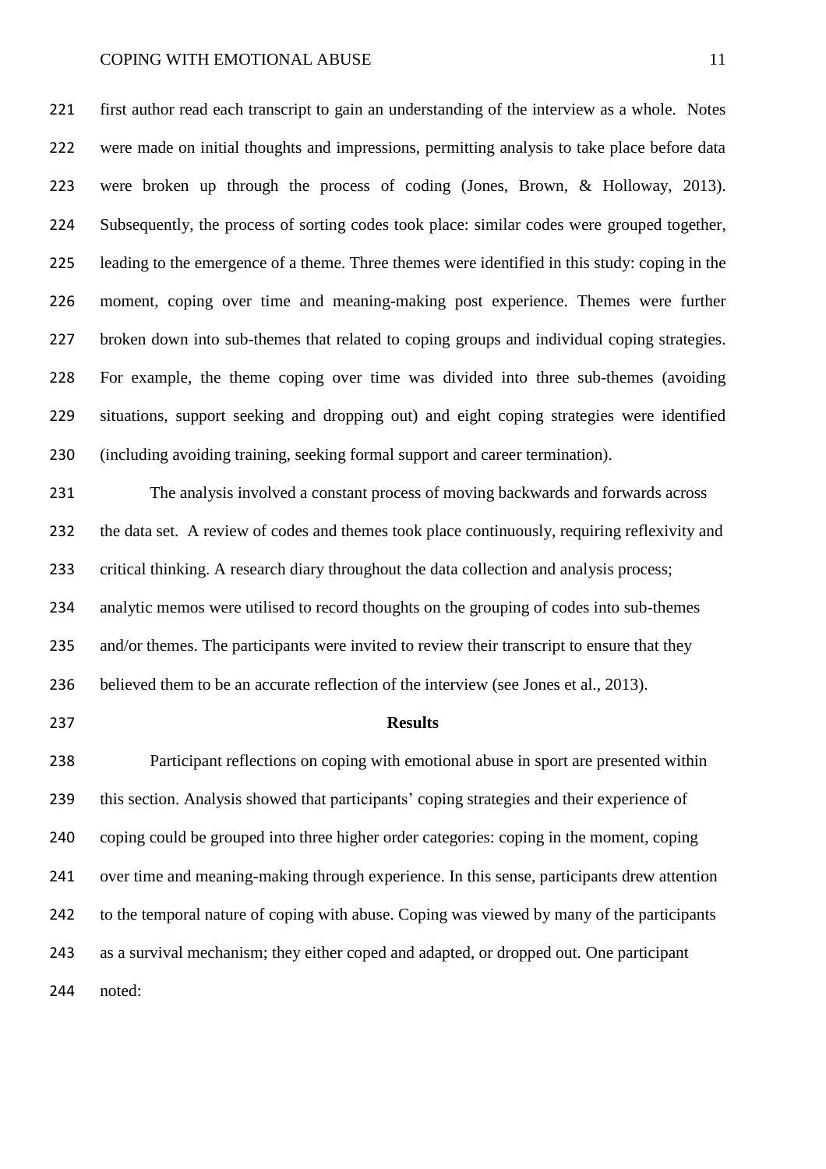first author read each transcript to gain an understanding of the interview as a whole. Notes were made on initial thoughts and impressions, permitting analysis to take place before data were broken up through the process of coding (Jones, Brown, & Holloway, 2013). Subsequently, the process of sorting codes took place: similar codes were grouped together, leading to the emergence of a theme. Three themes were identified in this study: coping in the moment, coping over time and meaning-making post experience. Themes were further broken down into sub-themes that related to coping groups and individual coping strategies. For example, the theme coping over time was divided into three sub-themes (avoiding situations, support seeking and dropping out) and eight coping strategies were identified (including avoiding training, seeking formal support and career termination).

 The analysis involved a constant process of moving backwards and forwards across the data set. A review of codes and themes took place continuously, requiring reflexivity and 233 critical thinking. A research diary throughout the data collection and analysis process; analytic memos were utilised to record thoughts on the grouping of codes into sub-themes 235 and/or themes. The participants were invited to review their transcript to ensure that they 236 believed them to be an accurate reflection of the interview (see Jones et al., 2013).

#### **Results**

 Participant reflections on coping with emotional abuse in sport are presented within this section. Analysis showed that participants' coping strategies and their experience of coping could be grouped into three higher order categories: coping in the moment, coping over time and meaning-making through experience. In this sense, participants drew attention to the temporal nature of coping with abuse. Coping was viewed by many of the participants as a survival mechanism; they either coped and adapted, or dropped out. One participant noted: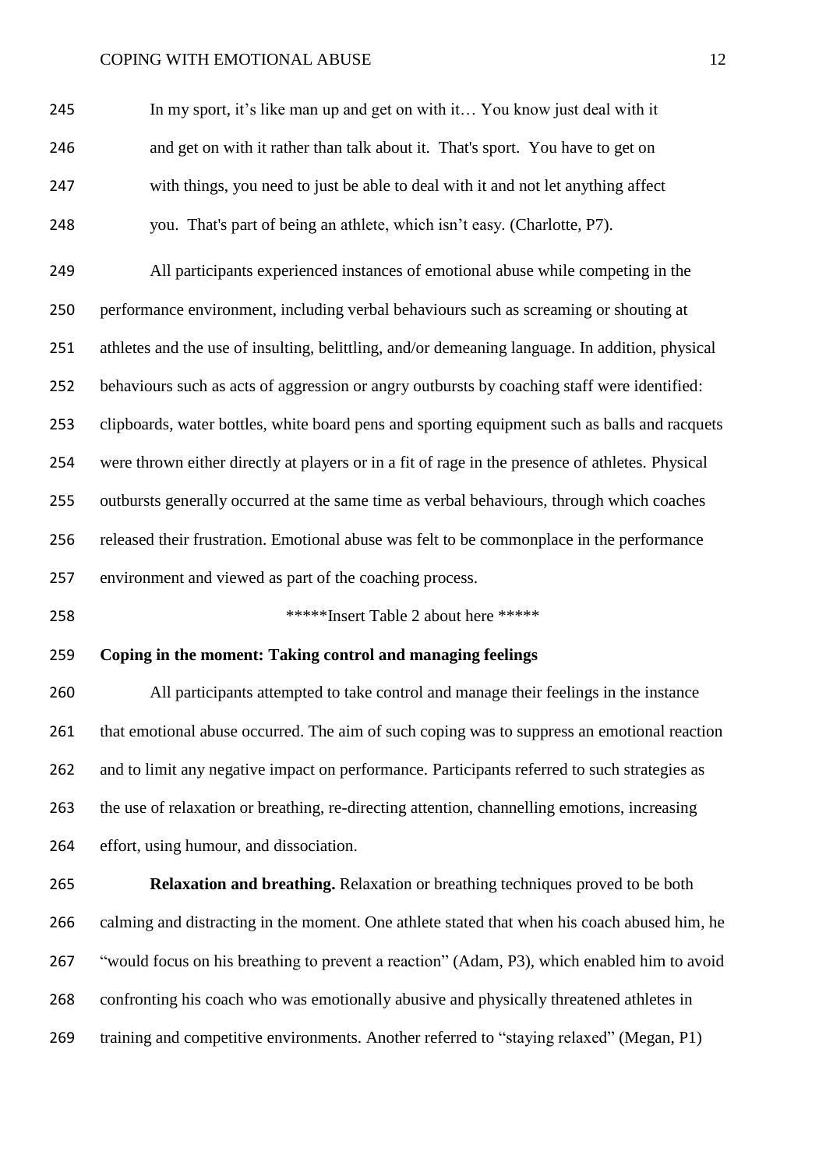In my sport, it's like man up and get on with it… You know just deal with it and get on with it rather than talk about it. That's sport. You have to get on with things, you need to just be able to deal with it and not let anything affect you. That's part of being an athlete, which isn't easy*.* (Charlotte, P7).

 All participants experienced instances of emotional abuse while competing in the performance environment, including verbal behaviours such as screaming or shouting at athletes and the use of insulting, belittling, and/or demeaning language. In addition, physical behaviours such as acts of aggression or angry outbursts by coaching staff were identified: clipboards, water bottles, white board pens and sporting equipment such as balls and racquets were thrown either directly at players or in a fit of rage in the presence of athletes. Physical outbursts generally occurred at the same time as verbal behaviours, through which coaches released their frustration. Emotional abuse was felt to be commonplace in the performance environment and viewed as part of the coaching process.

\*\*\*\*\*Insert Table 2 about here \*\*\*\*\*

## **Coping in the moment: Taking control and managing feelings**

 All participants attempted to take control and manage their feelings in the instance that emotional abuse occurred. The aim of such coping was to suppress an emotional reaction and to limit any negative impact on performance. Participants referred to such strategies as the use of relaxation or breathing, re-directing attention, channelling emotions, increasing effort, using humour, and dissociation.

 **Relaxation and breathing.** Relaxation or breathing techniques proved to be both calming and distracting in the moment. One athlete stated that when his coach abused him, he "would focus on his breathing to prevent a reaction" (Adam, P3), which enabled him to avoid confronting his coach who was emotionally abusive and physically threatened athletes in training and competitive environments. Another referred to "staying relaxed" (Megan, P1)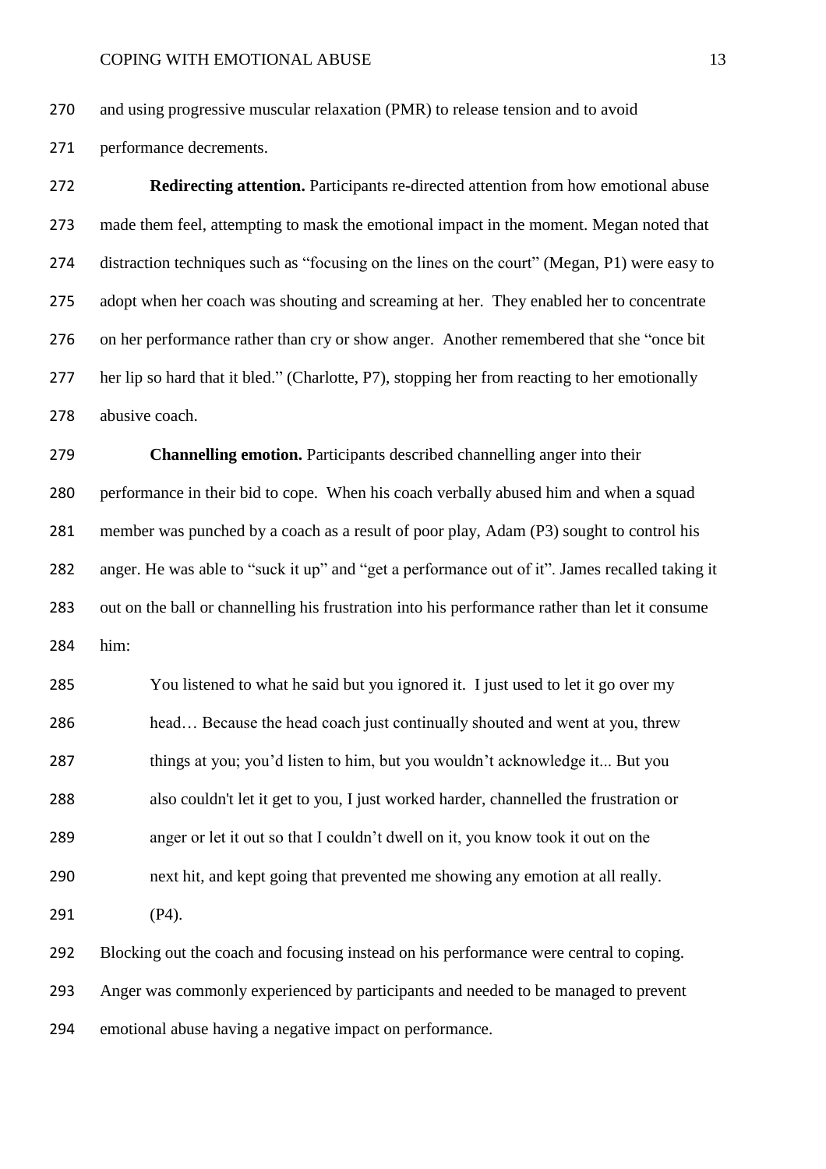and using progressive muscular relaxation (PMR) to release tension and to avoid

performance decrements.

 **Redirecting attention.** Participants re-directed attention from how emotional abuse made them feel, attempting to mask the emotional impact in the moment. Megan noted that distraction techniques such as "focusing on the lines on the court" (Megan, P1) were easy to adopt when her coach was shouting and screaming at her. They enabled her to concentrate on her performance rather than cry or show anger. Another remembered that she "once bit her lip so hard that it bled." (Charlotte, P7), stopping her from reacting to her emotionally abusive coach.

 **Channelling emotion.** Participants described channelling anger into their performance in their bid to cope. When his coach verbally abused him and when a squad member was punched by a coach as a result of poor play, Adam (P3) sought to control his anger. He was able to "suck it up" and "get a performance out of it". James recalled taking it out on the ball or channelling his frustration into his performance rather than let it consume him:

 You listened to what he said but you ignored it. I just used to let it go over my head… Because the head coach just continually shouted and went at you, threw things at you; you'd listen to him, but you wouldn't acknowledge it... But you also couldn't let it get to you, I just worked harder, channelled the frustration or anger or let it out so that I couldn't dwell on it, you know took it out on the next hit, and kept going that prevented me showing any emotion at all really. (P4).

 Blocking out the coach and focusing instead on his performance were central to coping. Anger was commonly experienced by participants and needed to be managed to prevent emotional abuse having a negative impact on performance.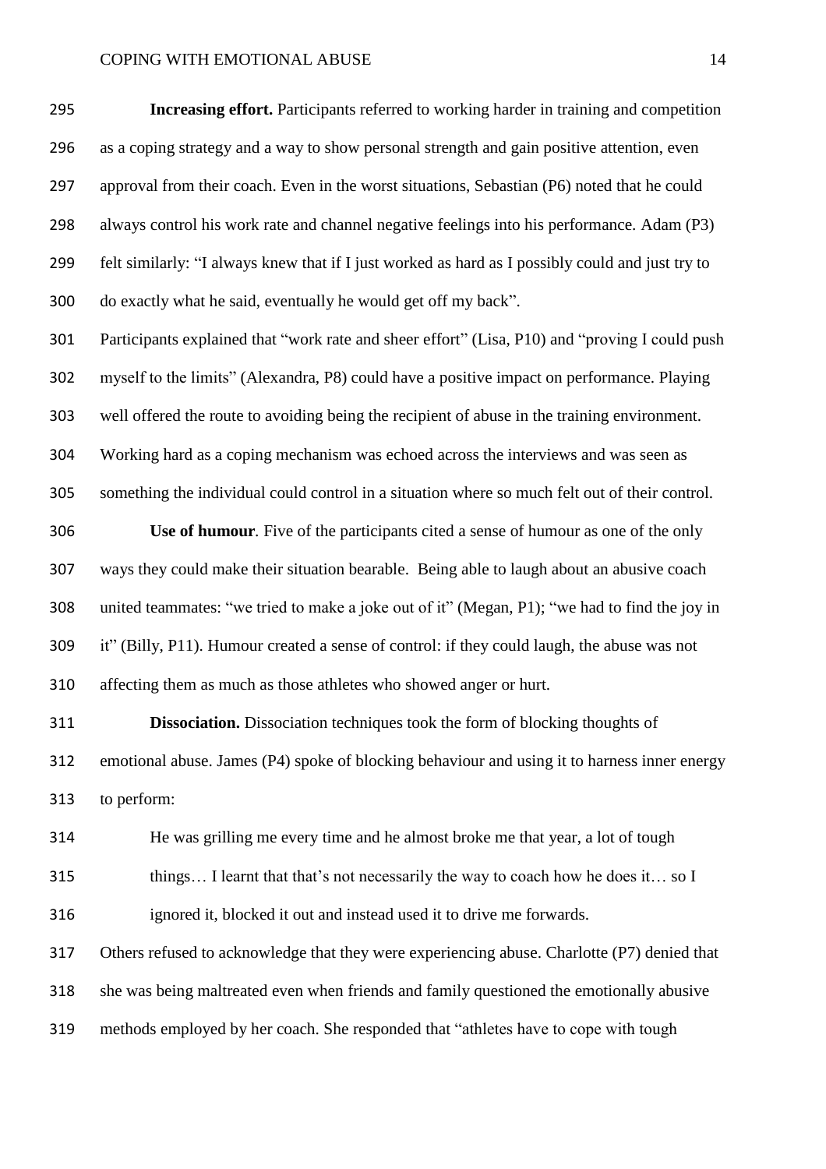**Increasing effort.** Participants referred to working harder in training and competition as a coping strategy and a way to show personal strength and gain positive attention, even approval from their coach. Even in the worst situations, Sebastian (P6) noted that he could always control his work rate and channel negative feelings into his performance. Adam (P3) felt similarly: "I always knew that if I just worked as hard as I possibly could and just try to do exactly what he said, eventually he would get off my back".

 Participants explained that "work rate and sheer effort" (Lisa, P10) and "proving I could push myself to the limits" (Alexandra, P8) could have a positive impact on performance. Playing well offered the route to avoiding being the recipient of abuse in the training environment. Working hard as a coping mechanism was echoed across the interviews and was seen as something the individual could control in a situation where so much felt out of their control.

 **Use of humour***.* Five of the participants cited a sense of humour as one of the only ways they could make their situation bearable. Being able to laugh about an abusive coach united teammates: "we tried to make a joke out of it" (Megan, P1); "we had to find the joy in it" (Billy, P11). Humour created a sense of control: if they could laugh, the abuse was not affecting them as much as those athletes who showed anger or hurt.

 **Dissociation.** Dissociation techniques took the form of blocking thoughts of emotional abuse. James (P4) spoke of blocking behaviour and using it to harness inner energy to perform:

 He was grilling me every time and he almost broke me that year, a lot of tough things… I learnt that that's not necessarily the way to coach how he does it… so I ignored it, blocked it out and instead used it to drive me forwards. Others refused to acknowledge that they were experiencing abuse. Charlotte (P7) denied that she was being maltreated even when friends and family questioned the emotionally abusive methods employed by her coach. She responded that "athletes have to cope with tough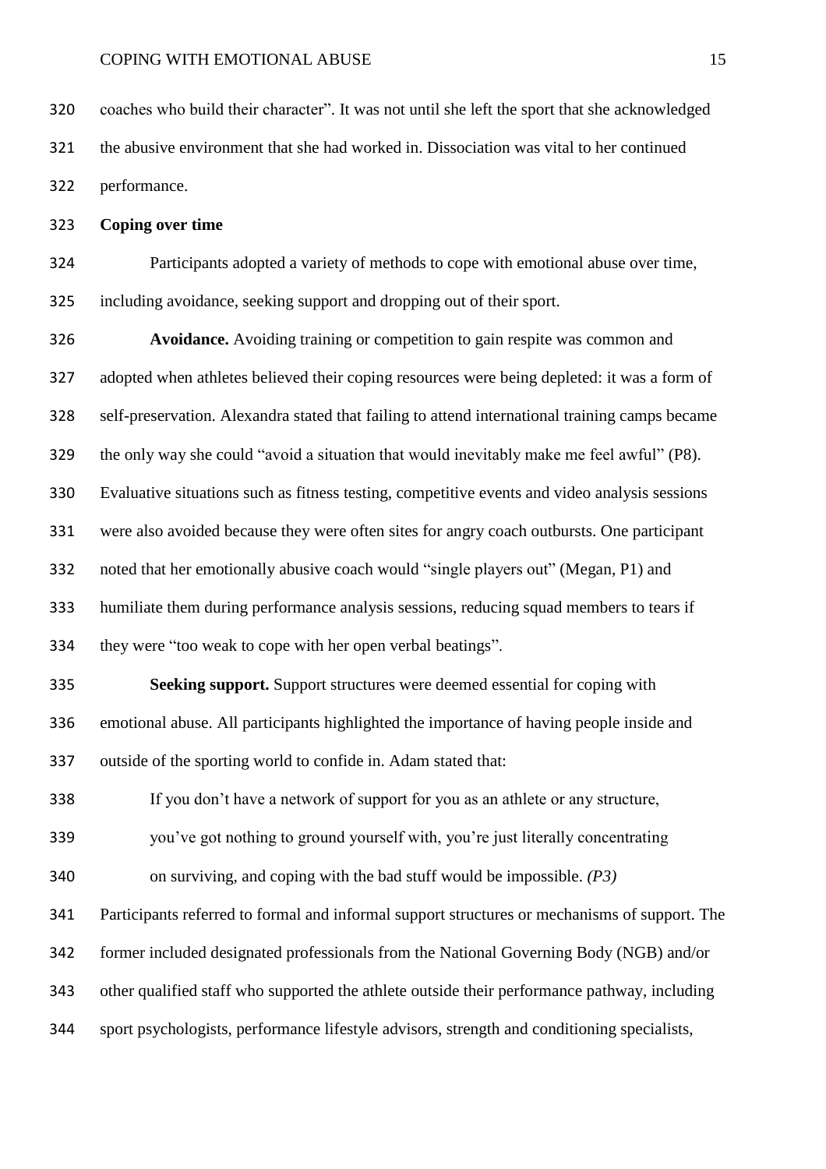coaches who build their character". It was not until she left the sport that she acknowledged the abusive environment that she had worked in. Dissociation was vital to her continued performance.

**Coping over time**

 Participants adopted a variety of methods to cope with emotional abuse over time, including avoidance, seeking support and dropping out of their sport.

 **Avoidance.** Avoiding training or competition to gain respite was common and adopted when athletes believed their coping resources were being depleted: it was a form of self-preservation. Alexandra stated that failing to attend international training camps became the only way she could "avoid a situation that would inevitably make me feel awful" (P8). Evaluative situations such as fitness testing, competitive events and video analysis sessions were also avoided because they were often sites for angry coach outbursts. One participant noted that her emotionally abusive coach would "single players out" (Megan, P1) and humiliate them during performance analysis sessions, reducing squad members to tears if they were "too weak to cope with her open verbal beatings". **Seeking support.** Support structures were deemed essential for coping with emotional abuse. All participants highlighted the importance of having people inside and outside of the sporting world to confide in. Adam stated that: If you don't have a network of support for you as an athlete or any structure, you've got nothing to ground yourself with, you're just literally concentrating on surviving, and coping with the bad stuff would be impossible. *(P3)* Participants referred to formal and informal support structures or mechanisms of support. The former included designated professionals from the National Governing Body (NGB) and/or

other qualified staff who supported the athlete outside their performance pathway, including

sport psychologists, performance lifestyle advisors, strength and conditioning specialists,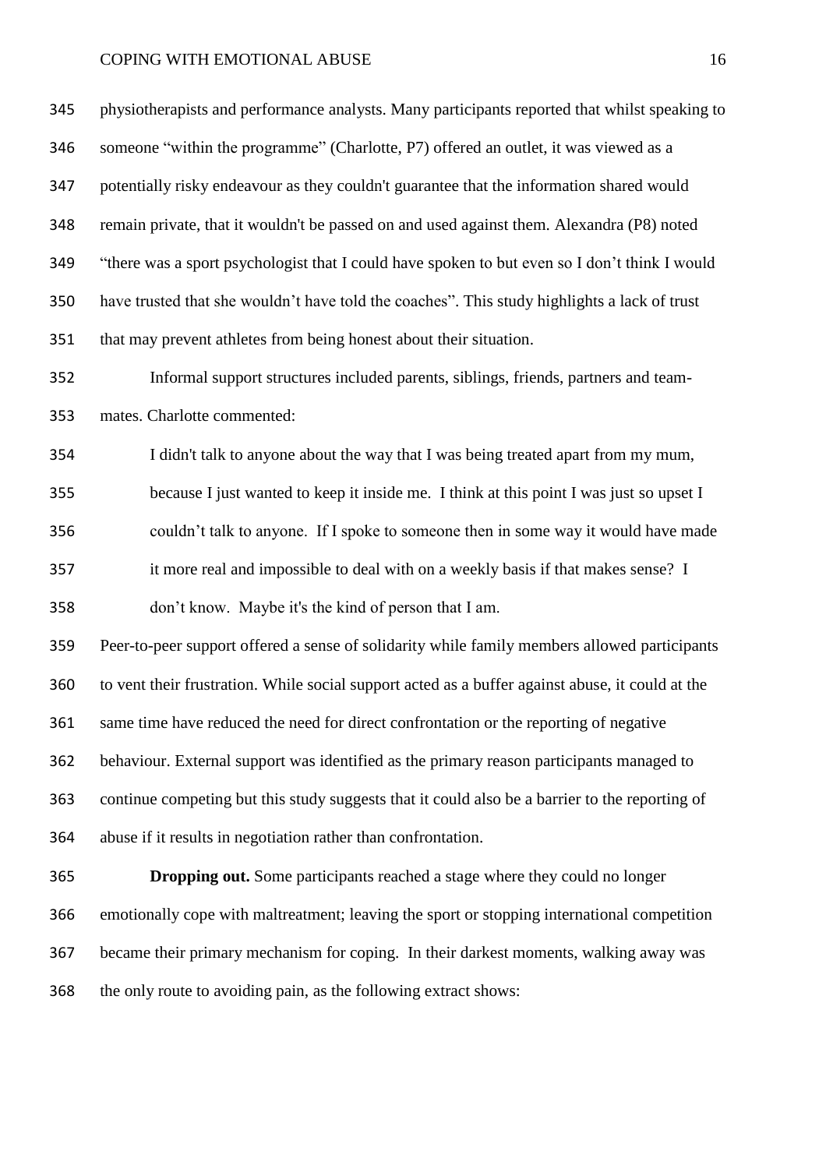physiotherapists and performance analysts. Many participants reported that whilst speaking to someone "within the programme" (Charlotte, P7) offered an outlet, it was viewed as a potentially risky endeavour as they couldn't guarantee that the information shared would remain private, that it wouldn't be passed on and used against them. Alexandra (P8) noted "there was a sport psychologist that I could have spoken to but even so I don't think I would have trusted that she wouldn't have told the coaches". This study highlights a lack of trust that may prevent athletes from being honest about their situation. Informal support structures included parents, siblings, friends, partners and team- mates. Charlotte commented: I didn't talk to anyone about the way that I was being treated apart from my mum, because I just wanted to keep it inside me. I think at this point I was just so upset I couldn't talk to anyone. If I spoke to someone then in some way it would have made it more real and impossible to deal with on a weekly basis if that makes sense? I don't know. Maybe it's the kind of person that I am. Peer-to-peer support offered a sense of solidarity while family members allowed participants to vent their frustration. While social support acted as a buffer against abuse, it could at the same time have reduced the need for direct confrontation or the reporting of negative behaviour. External support was identified as the primary reason participants managed to continue competing but this study suggests that it could also be a barrier to the reporting of abuse if it results in negotiation rather than confrontation. **Dropping out.** Some participants reached a stage where they could no longer

 emotionally cope with maltreatment; leaving the sport or stopping international competition became their primary mechanism for coping. In their darkest moments, walking away was the only route to avoiding pain, as the following extract shows: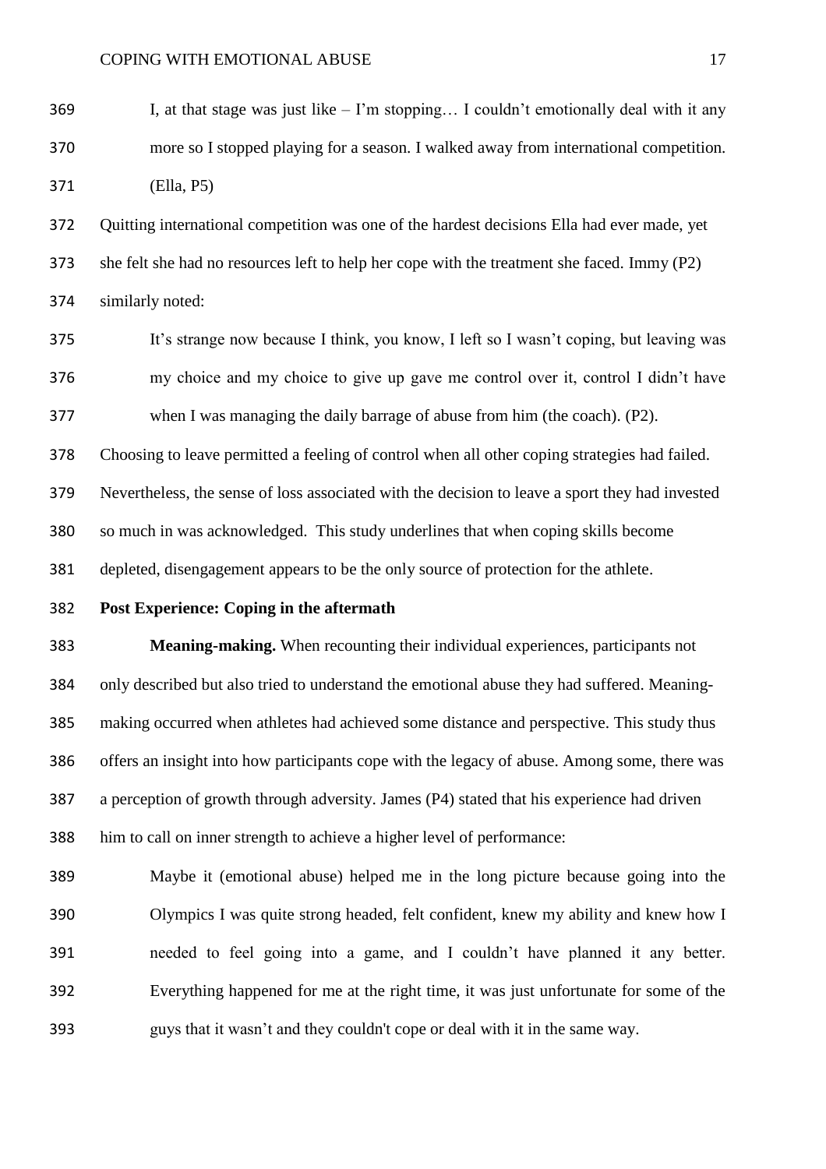369 I, at that stage was just like  $-$  I'm stopping... I couldn't emotionally deal with it any more so I stopped playing for a season. I walked away from international competition*.* (Ella, P5)

 Quitting international competition was one of the hardest decisions Ella had ever made, yet she felt she had no resources left to help her cope with the treatment she faced. Immy (P2) similarly noted:

 It's strange now because I think, you know, I left so I wasn't coping, but leaving was my choice and my choice to give up gave me control over it, control I didn't have when I was managing the daily barrage of abuse from him (the coach). (P2).

Choosing to leave permitted a feeling of control when all other coping strategies had failed.

Nevertheless, the sense of loss associated with the decision to leave a sport they had invested

so much in was acknowledged. This study underlines that when coping skills become

depleted, disengagement appears to be the only source of protection for the athlete.

**Post Experience: Coping in the aftermath**

 **Meaning-making.** When recounting their individual experiences, participants not only described but also tried to understand the emotional abuse they had suffered. Meaning- making occurred when athletes had achieved some distance and perspective. This study thus offers an insight into how participants cope with the legacy of abuse. Among some, there was a perception of growth through adversity. James (P4) stated that his experience had driven him to call on inner strength to achieve a higher level of performance:

 Maybe it (emotional abuse) helped me in the long picture because going into the Olympics I was quite strong headed, felt confident, knew my ability and knew how I needed to feel going into a game, and I couldn't have planned it any better. Everything happened for me at the right time, it was just unfortunate for some of the guys that it wasn't and they couldn't cope or deal with it in the same way.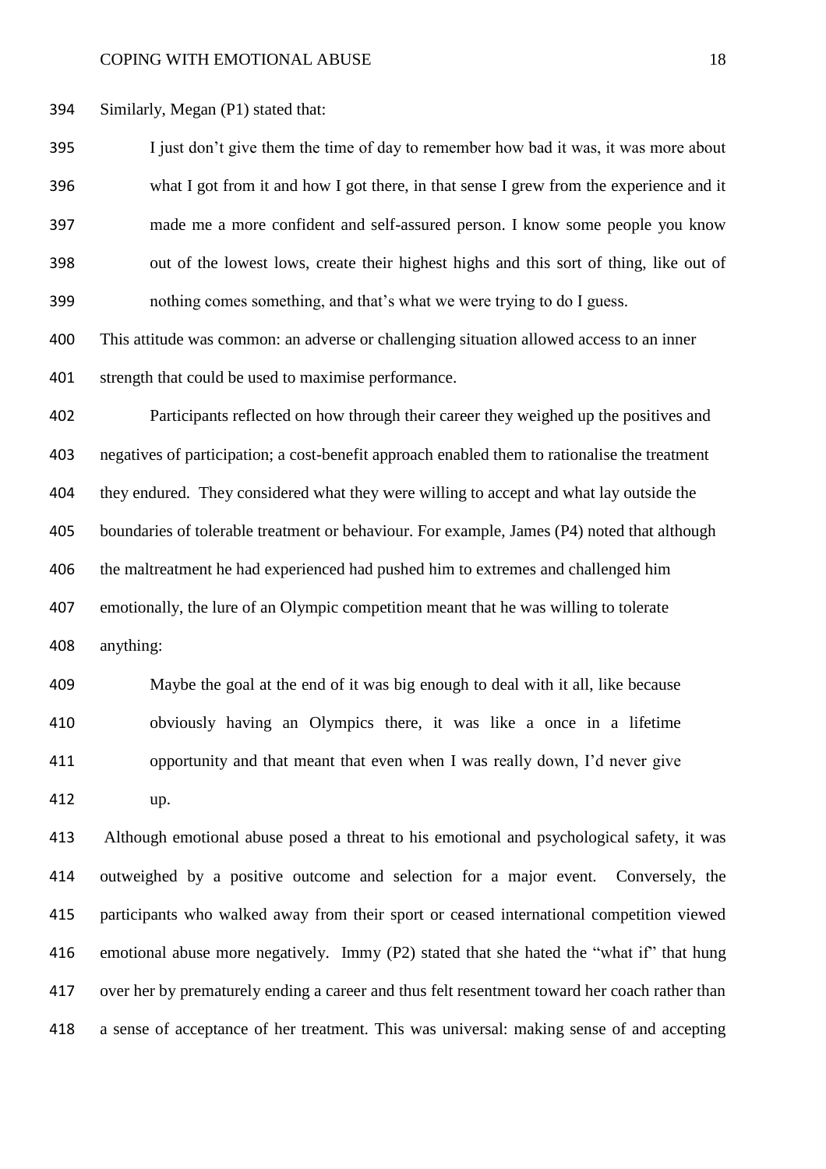Similarly, Megan (P1) stated that:

 I just don't give them the time of day to remember how bad it was, it was more about what I got from it and how I got there, in that sense I grew from the experience and it made me a more confident and self-assured person. I know some people you know out of the lowest lows, create their highest highs and this sort of thing, like out of nothing comes something, and that's what we were trying to do I guess.

 This attitude was common: an adverse or challenging situation allowed access to an inner strength that could be used to maximise performance.

 Participants reflected on how through their career they weighed up the positives and negatives of participation; a cost-benefit approach enabled them to rationalise the treatment they endured. They considered what they were willing to accept and what lay outside the boundaries of tolerable treatment or behaviour. For example, James (P4) noted that although the maltreatment he had experienced had pushed him to extremes and challenged him emotionally, the lure of an Olympic competition meant that he was willing to tolerate anything:

 Maybe the goal at the end of it was big enough to deal with it all, like because obviously having an Olympics there, it was like a once in a lifetime opportunity and that meant that even when I was really down, I'd never give up.

 Although emotional abuse posed a threat to his emotional and psychological safety, it was outweighed by a positive outcome and selection for a major event. Conversely, the participants who walked away from their sport or ceased international competition viewed emotional abuse more negatively. Immy (P2) stated that she hated the "what if" that hung over her by prematurely ending a career and thus felt resentment toward her coach rather than a sense of acceptance of her treatment. This was universal: making sense of and accepting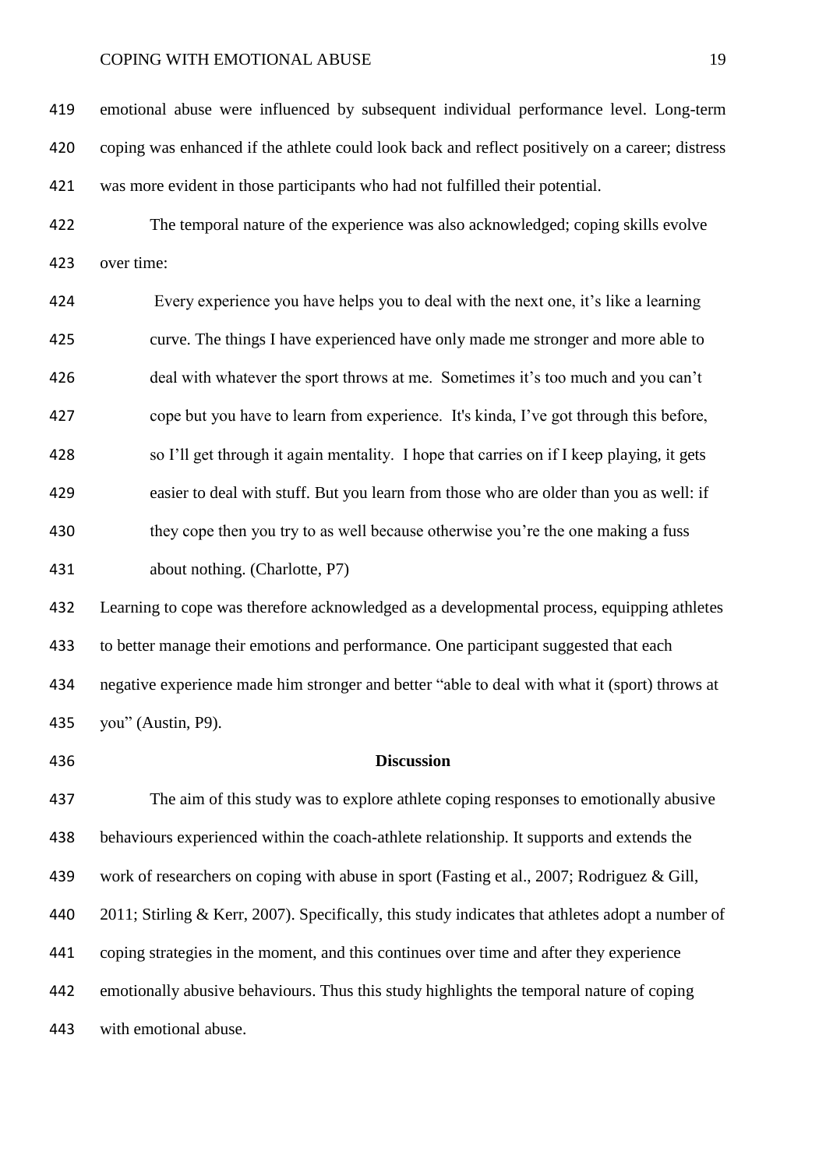emotional abuse were influenced by subsequent individual performance level. Long-term coping was enhanced if the athlete could look back and reflect positively on a career; distress was more evident in those participants who had not fulfilled their potential.

 The temporal nature of the experience was also acknowledged; coping skills evolve over time:

 Every experience you have helps you to deal with the next one, it's like a learning curve. The things I have experienced have only made me stronger and more able to deal with whatever the sport throws at me. Sometimes it's too much and you can't cope but you have to learn from experience. It's kinda, I've got through this before, so I'll get through it again mentality. I hope that carries on if I keep playing, it gets easier to deal with stuff. But you learn from those who are older than you as well: if they cope then you try to as well because otherwise you're the one making a fuss about nothing. (Charlotte, P7)

 Learning to cope was therefore acknowledged as a developmental process, equipping athletes to better manage their emotions and performance. One participant suggested that each negative experience made him stronger and better "able to deal with what it (sport) throws at you" (Austin, P9).

## **Discussion**

 The aim of this study was to explore athlete coping responses to emotionally abusive behaviours experienced within the coach-athlete relationship. It supports and extends the work of researchers on coping with abuse in sport (Fasting et al., 2007; Rodriguez & Gill, 2011; Stirling & Kerr, 2007). Specifically, this study indicates that athletes adopt a number of coping strategies in the moment, and this continues over time and after they experience emotionally abusive behaviours. Thus this study highlights the temporal nature of coping with emotional abuse.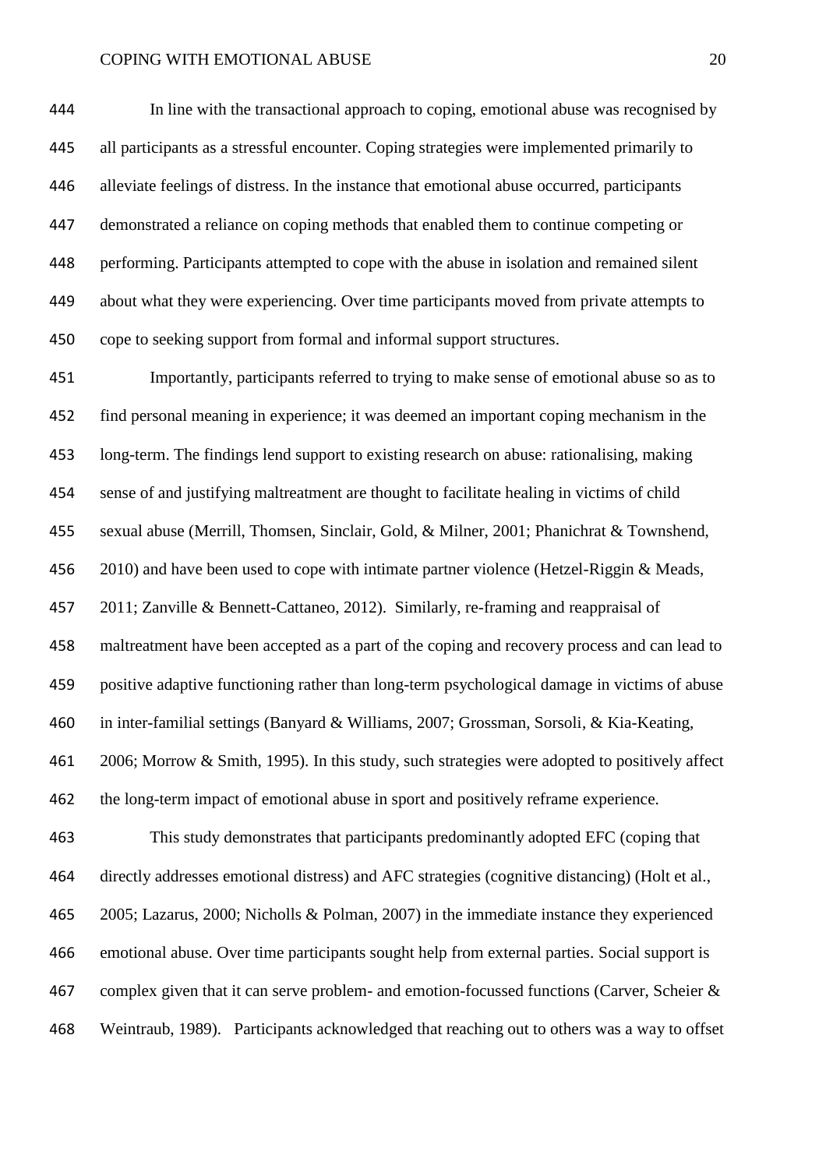In line with the transactional approach to coping, emotional abuse was recognised by all participants as a stressful encounter. Coping strategies were implemented primarily to alleviate feelings of distress. In the instance that emotional abuse occurred, participants demonstrated a reliance on coping methods that enabled them to continue competing or performing. Participants attempted to cope with the abuse in isolation and remained silent about what they were experiencing. Over time participants moved from private attempts to cope to seeking support from formal and informal support structures.

 Importantly, participants referred to trying to make sense of emotional abuse so as to find personal meaning in experience; it was deemed an important coping mechanism in the long-term. The findings lend support to existing research on abuse: rationalising, making sense of and justifying maltreatment are thought to facilitate healing in victims of child sexual abuse (Merrill, Thomsen, Sinclair, Gold, & Milner, 2001; Phanichrat & Townshend, 456 2010) and have been used to cope with intimate partner violence (Hetzel-Riggin & Meads, 2011; Zanville & Bennett-Cattaneo, 2012). Similarly, re-framing and reappraisal of maltreatment have been accepted as a part of the coping and recovery process and can lead to positive adaptive functioning rather than long-term psychological damage in victims of abuse in inter-familial settings (Banyard & Williams, 2007; Grossman, Sorsoli, & Kia-Keating, 2006; Morrow & Smith, 1995). In this study, such strategies were adopted to positively affect the long-term impact of emotional abuse in sport and positively reframe experience. This study demonstrates that participants predominantly adopted EFC (coping that

 directly addresses emotional distress) and AFC strategies (cognitive distancing) (Holt et al., 2005; Lazarus, 2000; Nicholls & Polman, 2007) in the immediate instance they experienced emotional abuse. Over time participants sought help from external parties. Social support is 467 complex given that it can serve problem- and emotion-focussed functions (Carver, Scheier & Weintraub, 1989). Participants acknowledged that reaching out to others was a way to offset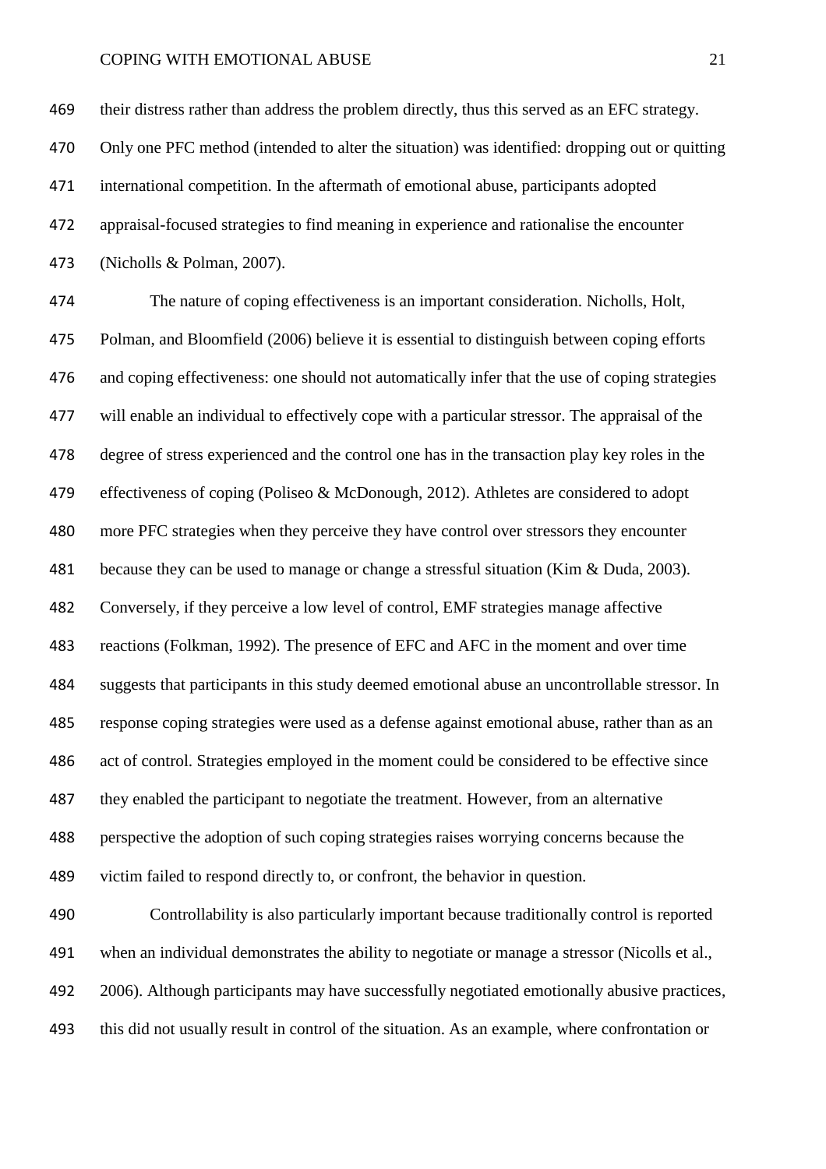their distress rather than address the problem directly, thus this served as an EFC strategy. Only one PFC method (intended to alter the situation) was identified: dropping out or quitting international competition. In the aftermath of emotional abuse, participants adopted appraisal-focused strategies to find meaning in experience and rationalise the encounter (Nicholls & Polman, 2007).

 The nature of coping effectiveness is an important consideration. Nicholls, Holt, Polman, and Bloomfield (2006) believe it is essential to distinguish between coping efforts and coping effectiveness: one should not automatically infer that the use of coping strategies will enable an individual to effectively cope with a particular stressor. The appraisal of the degree of stress experienced and the control one has in the transaction play key roles in the effectiveness of coping (Poliseo & McDonough, 2012). Athletes are considered to adopt more PFC strategies when they perceive they have control over stressors they encounter 481 because they can be used to manage or change a stressful situation (Kim & Duda, 2003). Conversely, if they perceive a low level of control, EMF strategies manage affective reactions (Folkman, 1992). The presence of EFC and AFC in the moment and over time suggests that participants in this study deemed emotional abuse an uncontrollable stressor. In response coping strategies were used as a defense against emotional abuse, rather than as an act of control. Strategies employed in the moment could be considered to be effective since they enabled the participant to negotiate the treatment. However, from an alternative perspective the adoption of such coping strategies raises worrying concerns because the victim failed to respond directly to, or confront, the behavior in question.

 Controllability is also particularly important because traditionally control is reported when an individual demonstrates the ability to negotiate or manage a stressor (Nicolls et al., 2006). Although participants may have successfully negotiated emotionally abusive practices, this did not usually result in control of the situation. As an example, where confrontation or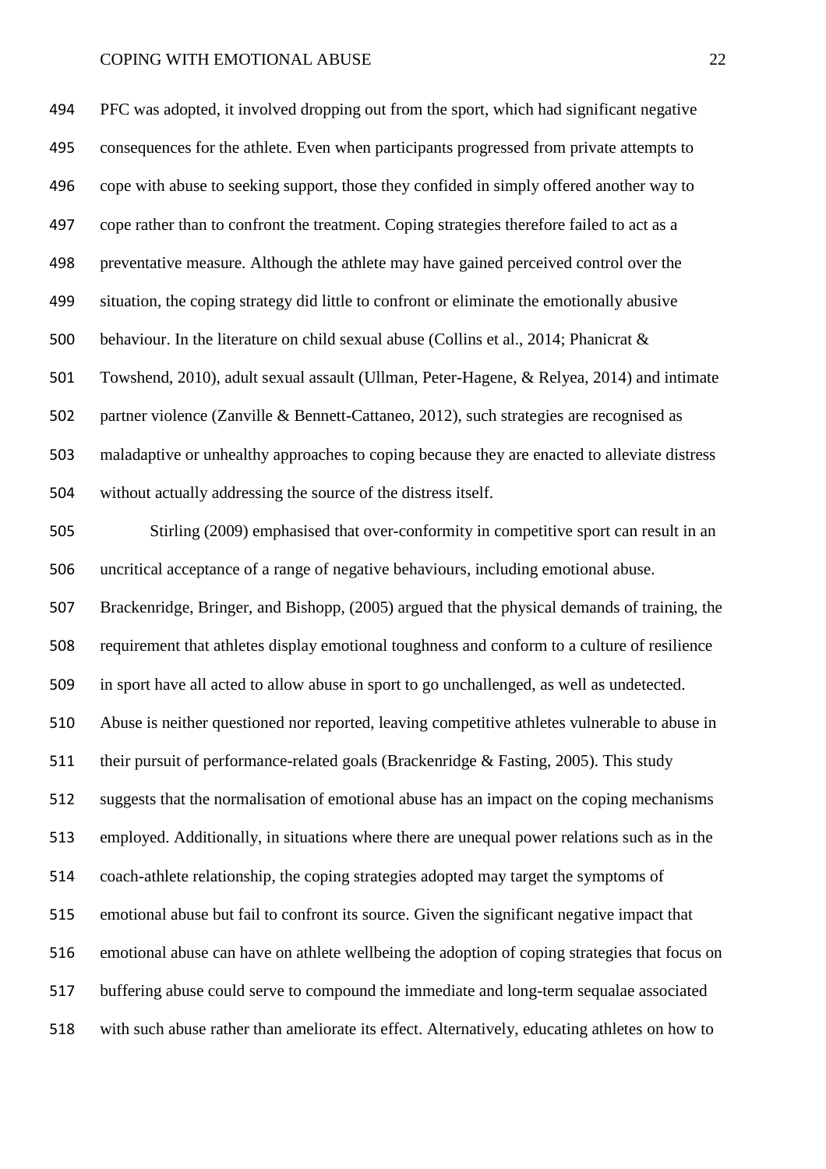PFC was adopted, it involved dropping out from the sport, which had significant negative consequences for the athlete. Even when participants progressed from private attempts to cope with abuse to seeking support, those they confided in simply offered another way to cope rather than to confront the treatment. Coping strategies therefore failed to act as a preventative measure. Although the athlete may have gained perceived control over the situation, the coping strategy did little to confront or eliminate the emotionally abusive behaviour. In the literature on child sexual abuse (Collins et al., 2014; Phanicrat & Towshend, 2010), adult sexual assault (Ullman, Peter-Hagene, & Relyea, 2014) and intimate partner violence (Zanville & Bennett-Cattaneo, 2012), such strategies are recognised as maladaptive or unhealthy approaches to coping because they are enacted to alleviate distress without actually addressing the source of the distress itself.

 Stirling (2009) emphasised that over-conformity in competitive sport can result in an uncritical acceptance of a range of negative behaviours, including emotional abuse. Brackenridge, Bringer, and Bishopp, (2005) argued that the physical demands of training, the requirement that athletes display emotional toughness and conform to a culture of resilience in sport have all acted to allow abuse in sport to go unchallenged, as well as undetected. Abuse is neither questioned nor reported, leaving competitive athletes vulnerable to abuse in their pursuit of performance-related goals (Brackenridge & Fasting, 2005). This study suggests that the normalisation of emotional abuse has an impact on the coping mechanisms employed. Additionally, in situations where there are unequal power relations such as in the coach-athlete relationship, the coping strategies adopted may target the symptoms of emotional abuse but fail to confront its source. Given the significant negative impact that emotional abuse can have on athlete wellbeing the adoption of coping strategies that focus on buffering abuse could serve to compound the immediate and long-term sequalae associated with such abuse rather than ameliorate its effect. Alternatively, educating athletes on how to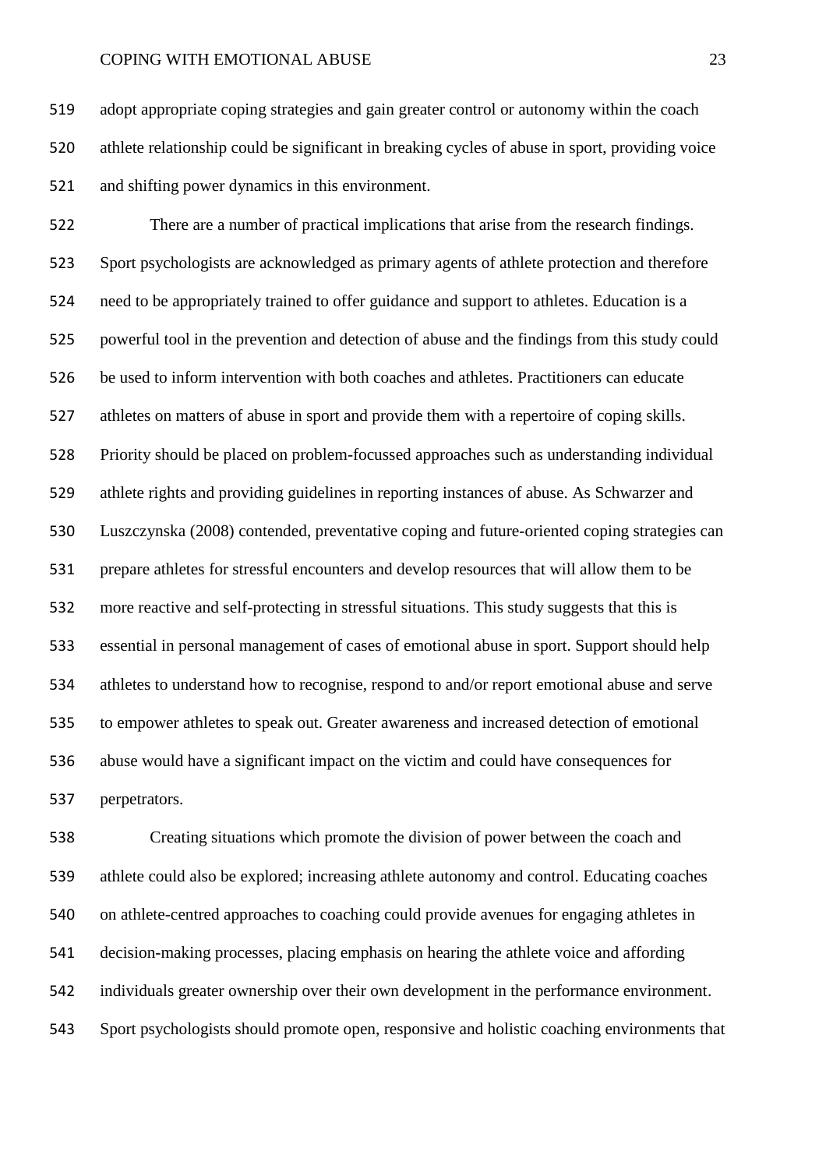adopt appropriate coping strategies and gain greater control or autonomy within the coach athlete relationship could be significant in breaking cycles of abuse in sport, providing voice and shifting power dynamics in this environment.

 There are a number of practical implications that arise from the research findings. Sport psychologists are acknowledged as primary agents of athlete protection and therefore need to be appropriately trained to offer guidance and support to athletes. Education is a powerful tool in the prevention and detection of abuse and the findings from this study could be used to inform intervention with both coaches and athletes. Practitioners can educate athletes on matters of abuse in sport and provide them with a repertoire of coping skills. Priority should be placed on problem-focussed approaches such as understanding individual athlete rights and providing guidelines in reporting instances of abuse. As Schwarzer and Luszczynska (2008) contended, preventative coping and future-oriented coping strategies can prepare athletes for stressful encounters and develop resources that will allow them to be more reactive and self-protecting in stressful situations. This study suggests that this is essential in personal management of cases of emotional abuse in sport. Support should help athletes to understand how to recognise, respond to and/or report emotional abuse and serve to empower athletes to speak out. Greater awareness and increased detection of emotional abuse would have a significant impact on the victim and could have consequences for perpetrators.

 Creating situations which promote the division of power between the coach and athlete could also be explored; increasing athlete autonomy and control. Educating coaches on athlete-centred approaches to coaching could provide avenues for engaging athletes in decision-making processes, placing emphasis on hearing the athlete voice and affording individuals greater ownership over their own development in the performance environment. Sport psychologists should promote open, responsive and holistic coaching environments that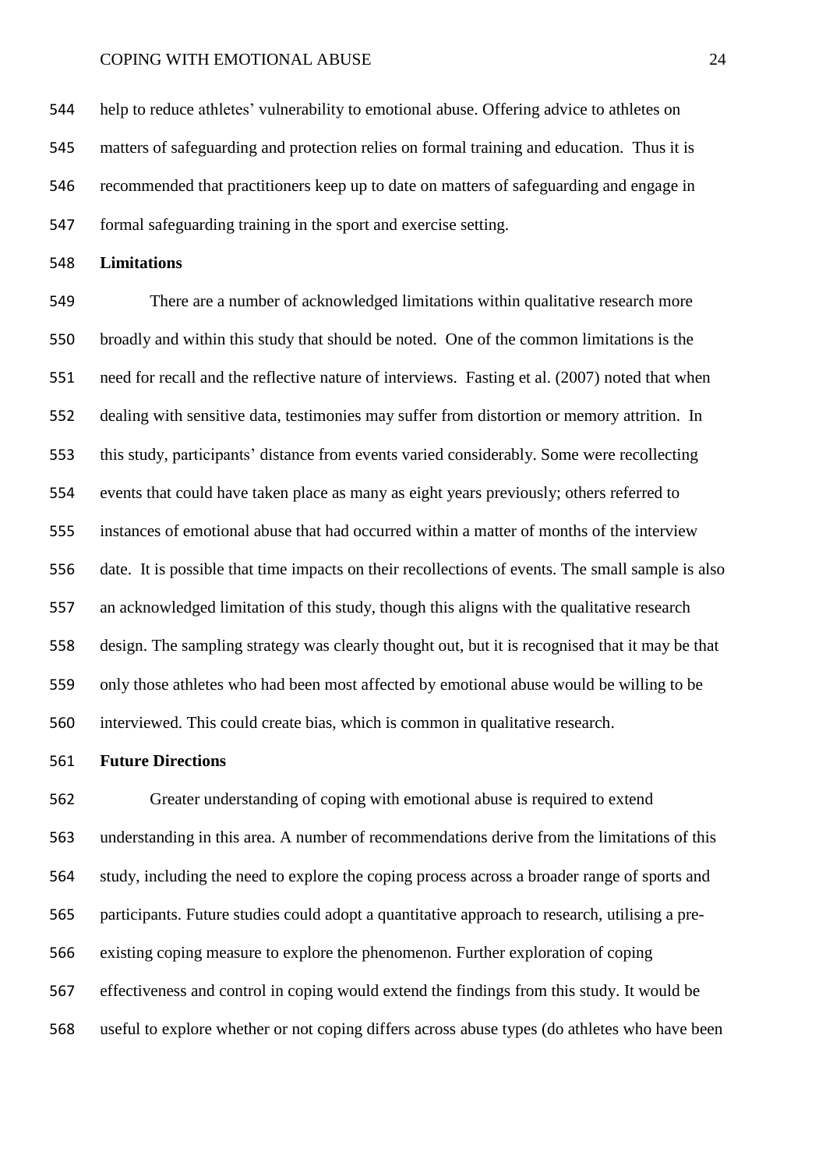help to reduce athletes' vulnerability to emotional abuse. Offering advice to athletes on matters of safeguarding and protection relies on formal training and education. Thus it is recommended that practitioners keep up to date on matters of safeguarding and engage in formal safeguarding training in the sport and exercise setting.

**Limitations**

 There are a number of acknowledged limitations within qualitative research more broadly and within this study that should be noted. One of the common limitations is the need for recall and the reflective nature of interviews. Fasting et al. (2007) noted that when dealing with sensitive data, testimonies may suffer from distortion or memory attrition. In this study, participants' distance from events varied considerably. Some were recollecting events that could have taken place as many as eight years previously; others referred to instances of emotional abuse that had occurred within a matter of months of the interview date. It is possible that time impacts on their recollections of events. The small sample is also an acknowledged limitation of this study, though this aligns with the qualitative research design. The sampling strategy was clearly thought out, but it is recognised that it may be that only those athletes who had been most affected by emotional abuse would be willing to be interviewed. This could create bias, which is common in qualitative research.

## **Future Directions**

 Greater understanding of coping with emotional abuse is required to extend understanding in this area. A number of recommendations derive from the limitations of this study, including the need to explore the coping process across a broader range of sports and participants. Future studies could adopt a quantitative approach to research, utilising a pre- existing coping measure to explore the phenomenon. Further exploration of coping effectiveness and control in coping would extend the findings from this study. It would be useful to explore whether or not coping differs across abuse types (do athletes who have been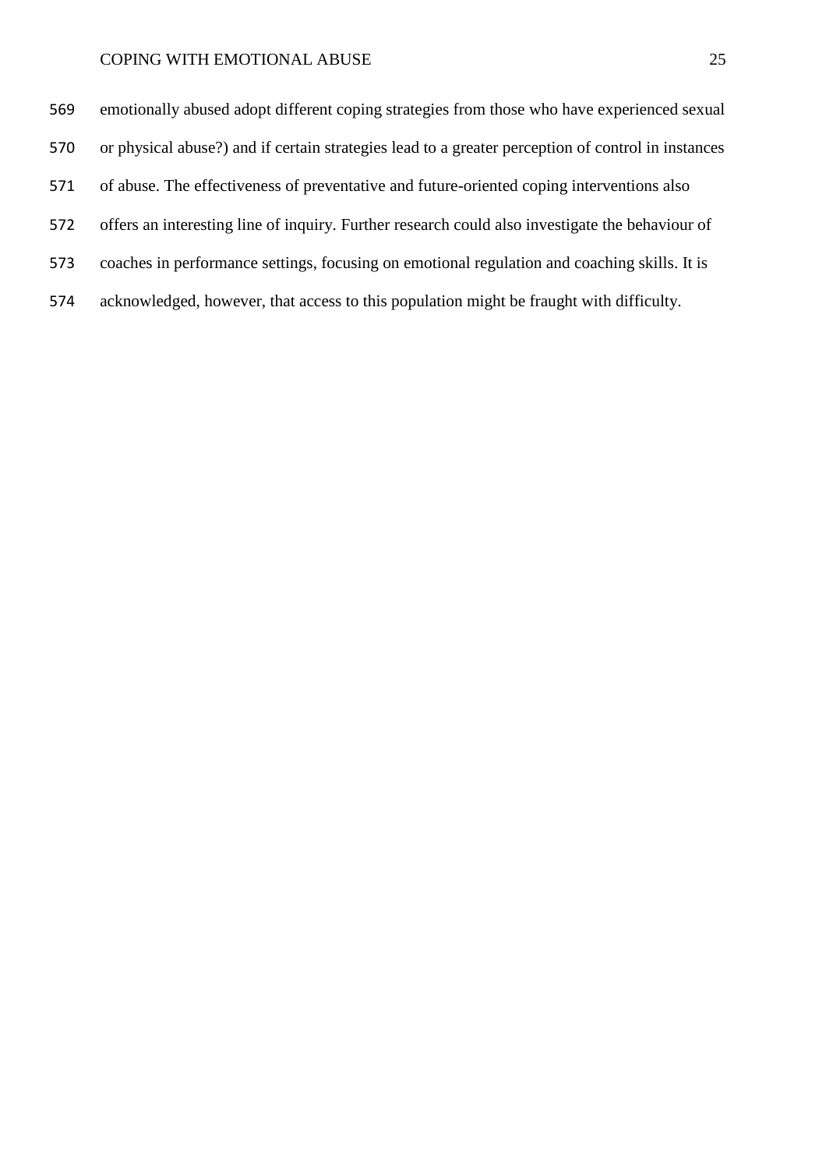| 569 | emotionally abused adopt different coping strategies from those who have experienced sexual        |
|-----|----------------------------------------------------------------------------------------------------|
| 570 | or physical abuse?) and if certain strategies lead to a greater perception of control in instances |
| 571 | of abuse. The effectiveness of preventative and future-oriented coping interventions also          |
| 572 | offers an interesting line of inquiry. Further research could also investigate the behaviour of    |
| 573 | coaches in performance settings, focusing on emotional regulation and coaching skills. It is       |
| 574 | acknowledged, however, that access to this population might be fraught with difficulty.            |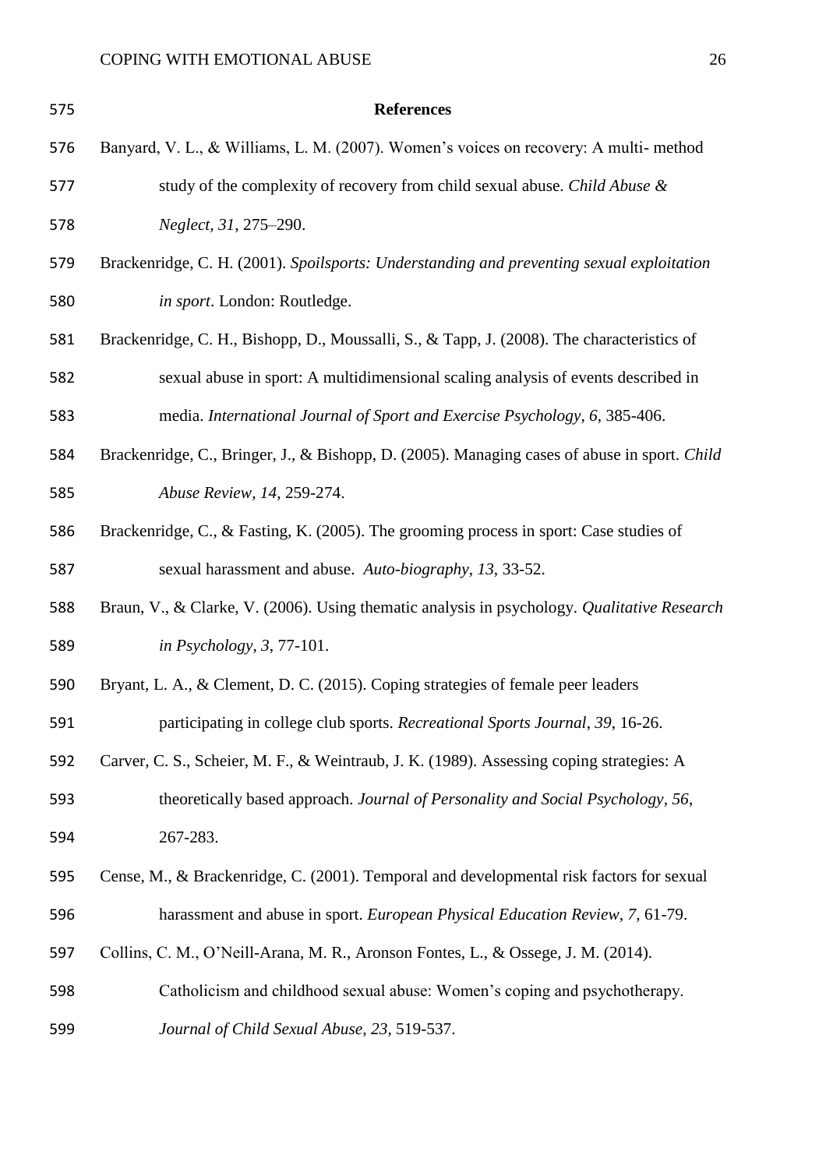| 575 | <b>References</b>                                                                            |
|-----|----------------------------------------------------------------------------------------------|
| 576 | Banyard, V. L., & Williams, L. M. (2007). Women's voices on recovery: A multi-method         |
| 577 | study of the complexity of recovery from child sexual abuse. Child Abuse &                   |
| 578 | Neglect, 31, 275-290.                                                                        |
| 579 | Brackenridge, C. H. (2001). Spoilsports: Understanding and preventing sexual exploitation    |
| 580 | in sport. London: Routledge.                                                                 |
| 581 | Brackenridge, C. H., Bishopp, D., Moussalli, S., & Tapp, J. (2008). The characteristics of   |
| 582 | sexual abuse in sport: A multidimensional scaling analysis of events described in            |
| 583 | media. International Journal of Sport and Exercise Psychology, 6, 385-406.                   |
| 584 | Brackenridge, C., Bringer, J., & Bishopp, D. (2005). Managing cases of abuse in sport. Child |
| 585 | Abuse Review, 14, 259-274.                                                                   |
| 586 | Brackenridge, C., & Fasting, K. (2005). The grooming process in sport: Case studies of       |
| 587 | sexual harassment and abuse. Auto-biography, 13, 33-52.                                      |
| 588 | Braun, V., & Clarke, V. (2006). Using thematic analysis in psychology. Qualitative Research  |
| 589 | in Psychology, $3, 77-101$ .                                                                 |
| 590 | Bryant, L. A., & Clement, D. C. (2015). Coping strategies of female peer leaders             |
| 591 | participating in college club sports. Recreational Sports Journal, 39, 16-26.                |
| 592 | Carver, C. S., Scheier, M. F., & Weintraub, J. K. (1989). Assessing coping strategies: A     |
| 593 | theoretically based approach. Journal of Personality and Social Psychology, 56,              |
| 594 | 267-283.                                                                                     |
| 595 | Cense, M., & Brackenridge, C. (2001). Temporal and developmental risk factors for sexual     |
| 596 | harassment and abuse in sport. European Physical Education Review, 7, 61-79.                 |
| 597 | Collins, C. M., O'Neill-Arana, M. R., Aronson Fontes, L., & Ossege, J. M. (2014).            |
| 598 | Catholicism and childhood sexual abuse: Women's coping and psychotherapy.                    |
| 599 | Journal of Child Sexual Abuse, 23, 519-537.                                                  |
|     |                                                                                              |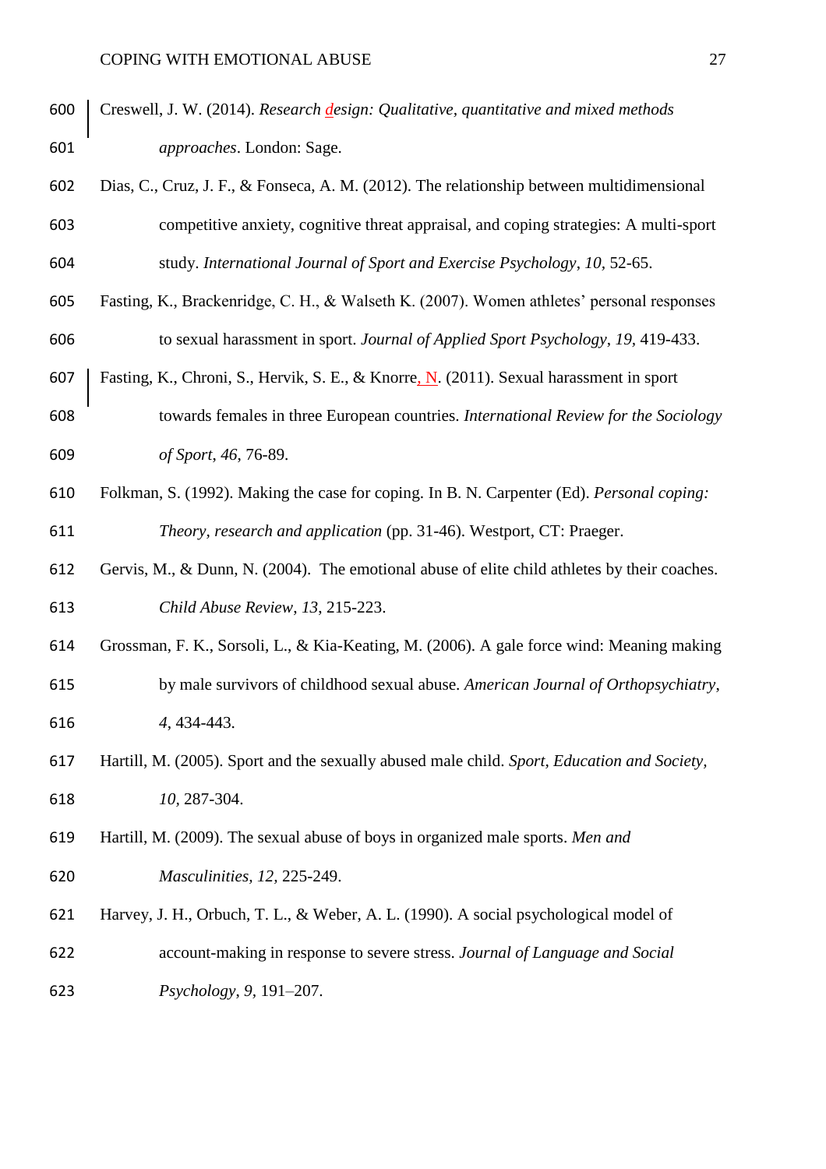- Creswell, J. W. (2014). *Research design: Qualitative, quantitative and mixed methods approaches*. London: Sage.
- Dias, C., Cruz, J. F., & Fonseca, A. M. (2012). The relationship between multidimensional competitive anxiety, cognitive threat appraisal, and coping strategies: A multi-sport study. *International Journal of Sport and Exercise Psychology*, *10,* 52-65.
- Fasting, K., Brackenridge, C. H., & Walseth K. (2007). Women athletes' personal responses to sexual harassment in sport. *Journal of Applied Sport Psychology*, *19,* 419-433.
- Fasting, K., Chroni, S., Hervik, S. E., & Knorre, N. (2011). Sexual harassment in sport towards females in three European countries. *International Review for the Sociology of Sport*, *46*, 76-89.
- Folkman, S. (1992). Making the case for coping. In B. N. Carpenter (Ed). *Personal coping: Theory, research and application* (pp. 31-46). Westport, CT: Praeger.
- Gervis, M., & Dunn, N. (2004). The emotional abuse of elite child athletes by their coaches. *Child Abuse Review*, *13*, 215-223.
- Grossman, F. K., Sorsoli, L., & Kia-Keating, M. (2006). A gale force wind: Meaning making
- by male survivors of childhood sexual abuse. *American Journal of Orthopsychiatry*, *4*, 434-443.
- Hartill, M. (2005). Sport and the sexually abused male child. *Sport, Education and Society, 10,* 287-304.
- Hartill, M. (2009). The sexual abuse of boys in organized male sports. *Men and*
- *Masculinities, 12,* 225-249.
- Harvey, J. H., Orbuch, T. L., & Weber, A. L. (1990). A social psychological model of account-making in response to severe stress. *Journal of Language and Social*
- *Psychology*, *9,* 191–207.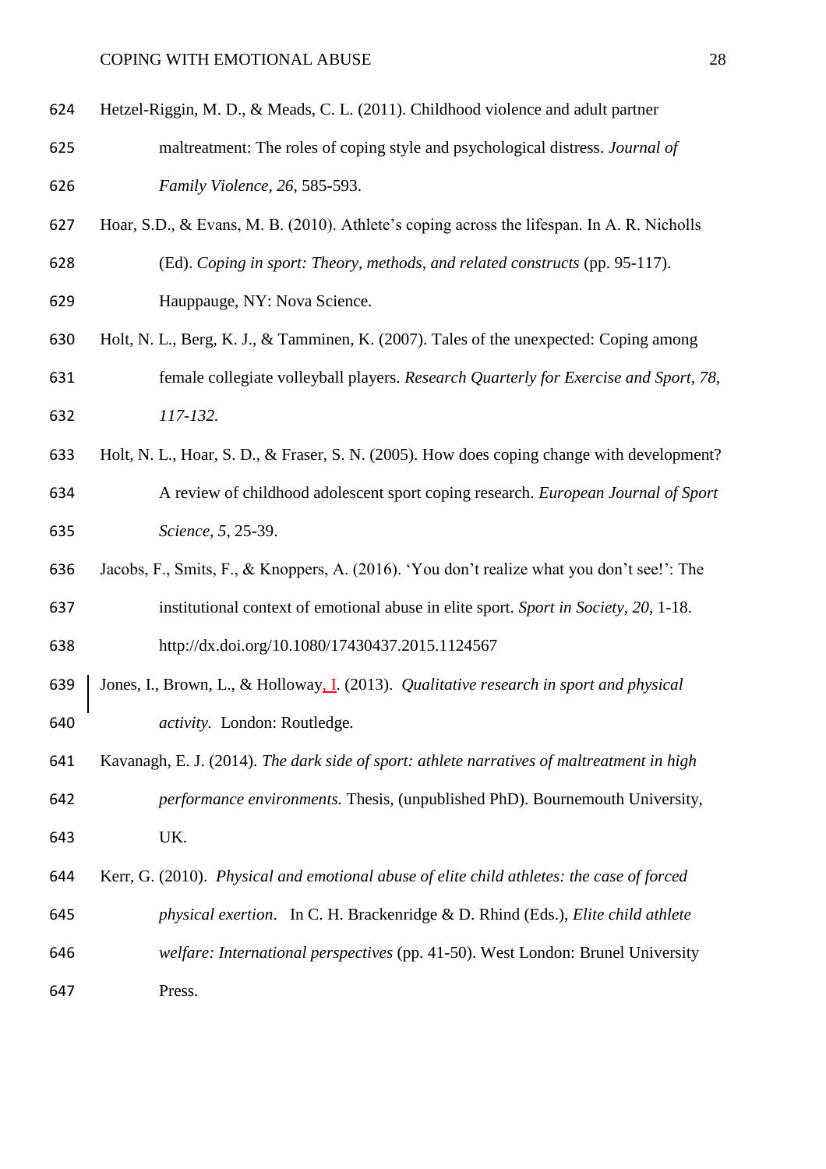- Hetzel-Riggin, M. D., & Meads, C. L. (2011). Childhood violence and adult partner maltreatment: The roles of coping style and psychological distress. *Journal of Family Violence, 26*, 585-593.
- Hoar, S.D., & Evans, M. B. (2010). Athlete's coping across the lifespan. In A. R. Nicholls (Ed). *Coping in sport: Theory, methods, and related constructs* (pp. 95-117).
- Hauppauge, NY: Nova Science.
- Holt, N. L., Berg, K. J., & Tamminen, K. (2007). Tales of the unexpected: Coping among female collegiate volleyball players. *Research Quarterly for Exercise and Sport, 78, 117-132.*
- Holt, N. L., Hoar, S. D., & Fraser, S. N. (2005). How does coping change with development? A review of childhood adolescent sport coping research. *European Journal of Sport Science, 5*, 25-39.
- Jacobs, F., Smits, F., & Knoppers, A. (2016). 'You don't realize what you don't see!': The institutional context of emotional abuse in elite sport. *Sport in Society*, *20*, 1-18. http://dx.doi.org/10.1080/17430437.2015.1124567
- Jones, I., Brown, L., & Holloway, I. (2013). *Qualitative research in sport and physical activity.* London: Routledge.
- Kavanagh, E. J. (2014). *The dark side of sport: athlete narratives of maltreatment in high performance environments.* Thesis, (unpublished PhD). Bournemouth University, UK.
- Kerr, G. (2010). *Physical and emotional abuse of elite child athletes: the case of forced*
- *physical exertion*. In C. H. Brackenridge & D. Rhind (Eds.), *Elite child athlete welfare: International perspectives* (pp. 41-50). West London: Brunel University Press.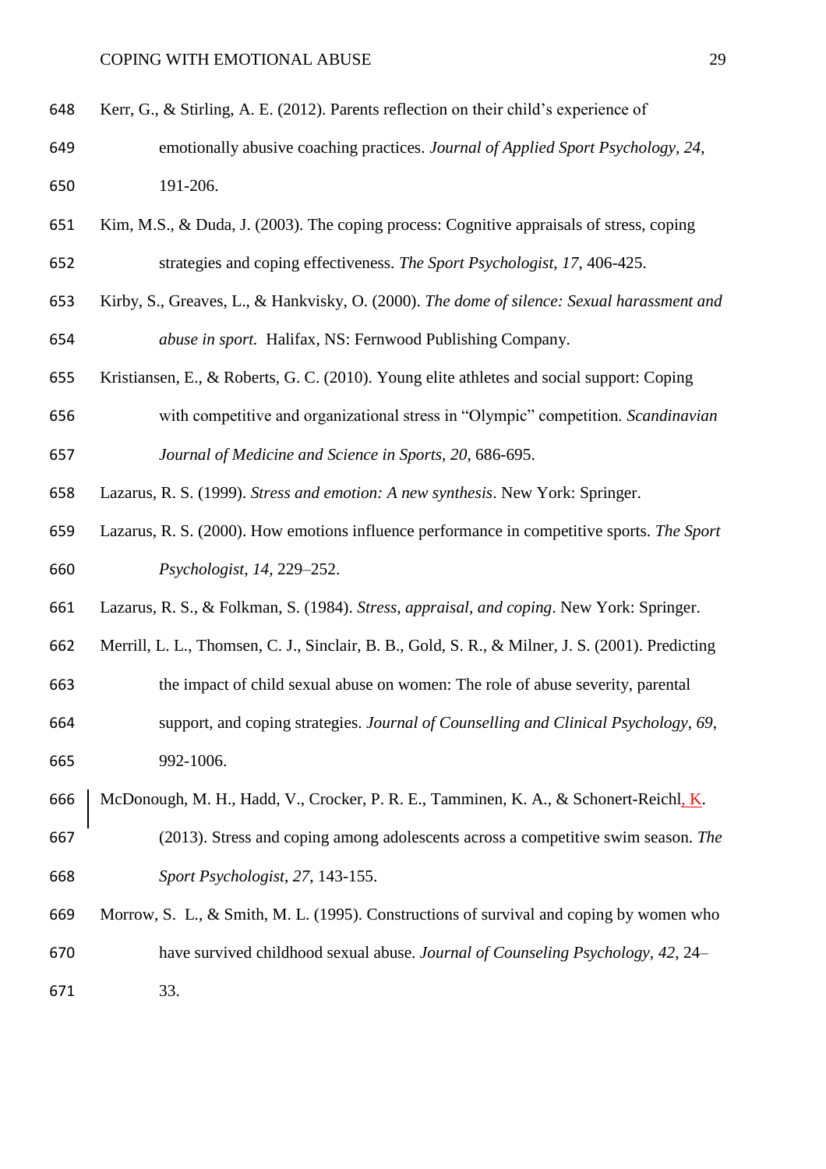- Kerr, G., & Stirling, A. E. (2012). Parents reflection on their child's experience of emotionally abusive coaching practices. *Journal of Applied Sport Psychology, 24*, 191-206.
- Kim, M.S., & Duda, J. (2003). The coping process: Cognitive appraisals of stress, coping strategies and coping effectiveness. *The Sport Psychologist, 17*, 406-425.
- Kirby, S., Greaves, L., & Hankvisky, O. (2000). *The dome of silence: Sexual harassment and abuse in sport.* Halifax, NS: Fernwood Publishing Company.
- Kristiansen, E., & Roberts, G. C. (2010). Young elite athletes and social support: Coping
- with competitive and organizational stress in "Olympic" competition. *Scandinavian Journal of Medicine and Science in Sports, 20,* 686-695.
- Lazarus, R. S. (1999). *Stress and emotion: A new synthesis*. New York: Springer.
- Lazarus, R. S. (2000). How emotions influence performance in competitive sports. *The Sport Psychologist, 14,* 229–252.
- Lazarus, R. S., & Folkman, S. (1984). *Stress, appraisal, and coping*. New York: Springer.
- Merrill, L. L., Thomsen, C. J., Sinclair, B. B., Gold, S. R., & Milner, J. S. (2001). Predicting
- the impact of child sexual abuse on women: The role of abuse severity, parental support, and coping strategies. *Journal of Counselling and Clinical Psychology*, *69*, 992-1006.
- McDonough, M. H., Hadd, V., Crocker, P. R. E., Tamminen, K. A., & Schonert-Reichl, K. (2013). Stress and coping among adolescents across a competitive swim season. *The Sport Psychologist*, *27*, 143-155.
- Morrow, S. L., & Smith, M. L. (1995). Constructions of survival and coping by women who have survived childhood sexual abuse. *Journal of Counseling Psychology, 42*, 24–
- 33.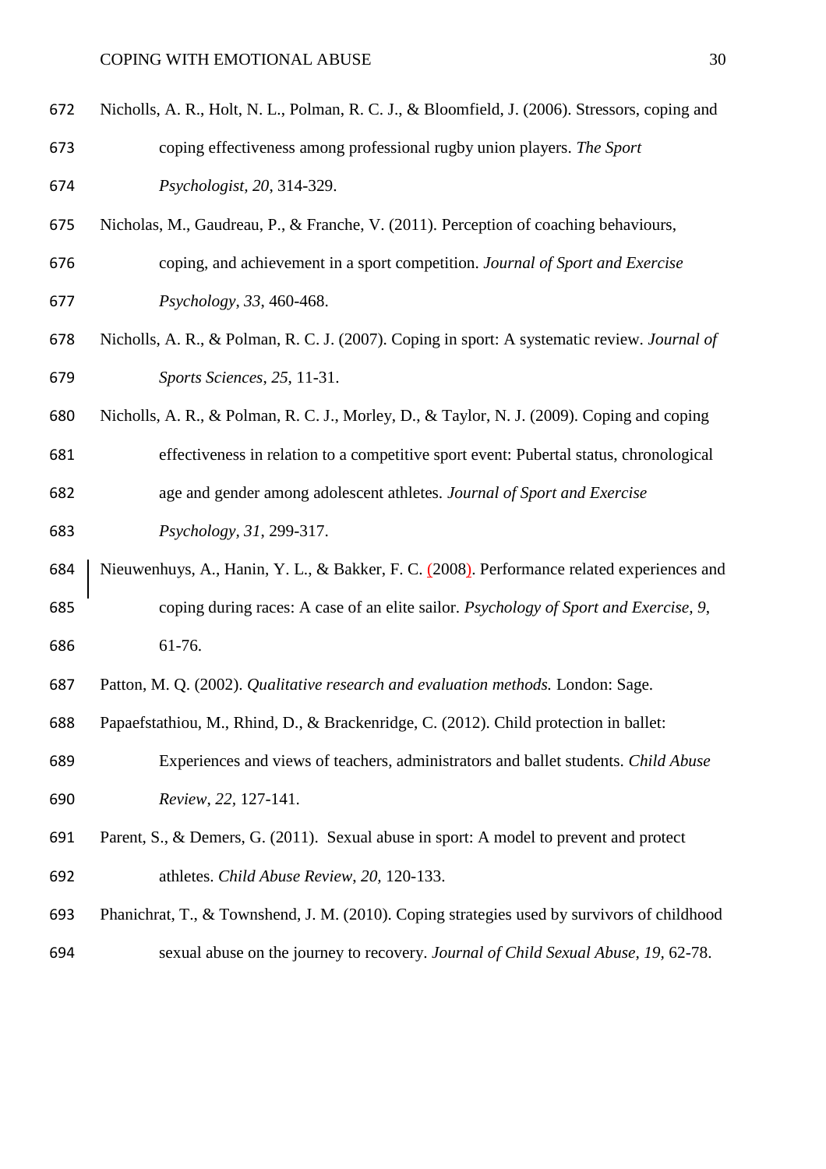Nicholls, A. R., Holt, N. L., Polman, R. C. J., & Bloomfield, J. (2006). Stressors, coping and coping effectiveness among professional rugby union players. *The Sport* 

*Psychologist, 20*, 314-329.

- Nicholas, M., Gaudreau, P., & Franche, V. (2011). Perception of coaching behaviours,
- coping, and achievement in a sport competition. *Journal of Sport and Exercise Psychology*, *33*, 460-468.
- Nicholls, A. R., & Polman, R. C. J. (2007). Coping in sport: A systematic review. *Journal of Sports Sciences*, *25*, 11-31.
- Nicholls, A. R., & Polman, R. C. J., Morley, D., & Taylor, N. J. (2009). Coping and coping
- effectiveness in relation to a competitive sport event: Pubertal status, chronological age and gender among adolescent athletes. *Journal of Sport and Exercise Psychology, 31*, 299-317.
- 
- Nieuwenhuys, A., Hanin, Y. L., & Bakker, F. C. (2008). Performance related experiences and coping during races: A case of an elite sailor. *Psychology of Sport and Exercise, 9*, 61-76.
- Patton, M. Q. (2002). *Qualitative research and evaluation methods.* London: Sage.
- Papaefstathiou, M., Rhind, D., & Brackenridge, C. (2012). Child protection in ballet:
- Experiences and views of teachers, administrators and ballet students. *Child Abuse Review*, *22,* 127-141.
- Parent, S., & Demers, G. (2011). Sexual abuse in sport: A model to prevent and protect athletes. *Child Abuse Review*, *20,* 120-133.
- Phanichrat, T., & Townshend, J. M. (2010). Coping strategies used by survivors of childhood sexual abuse on the journey to recovery. *Journal of Child Sexual Abuse, 19,* 62-78.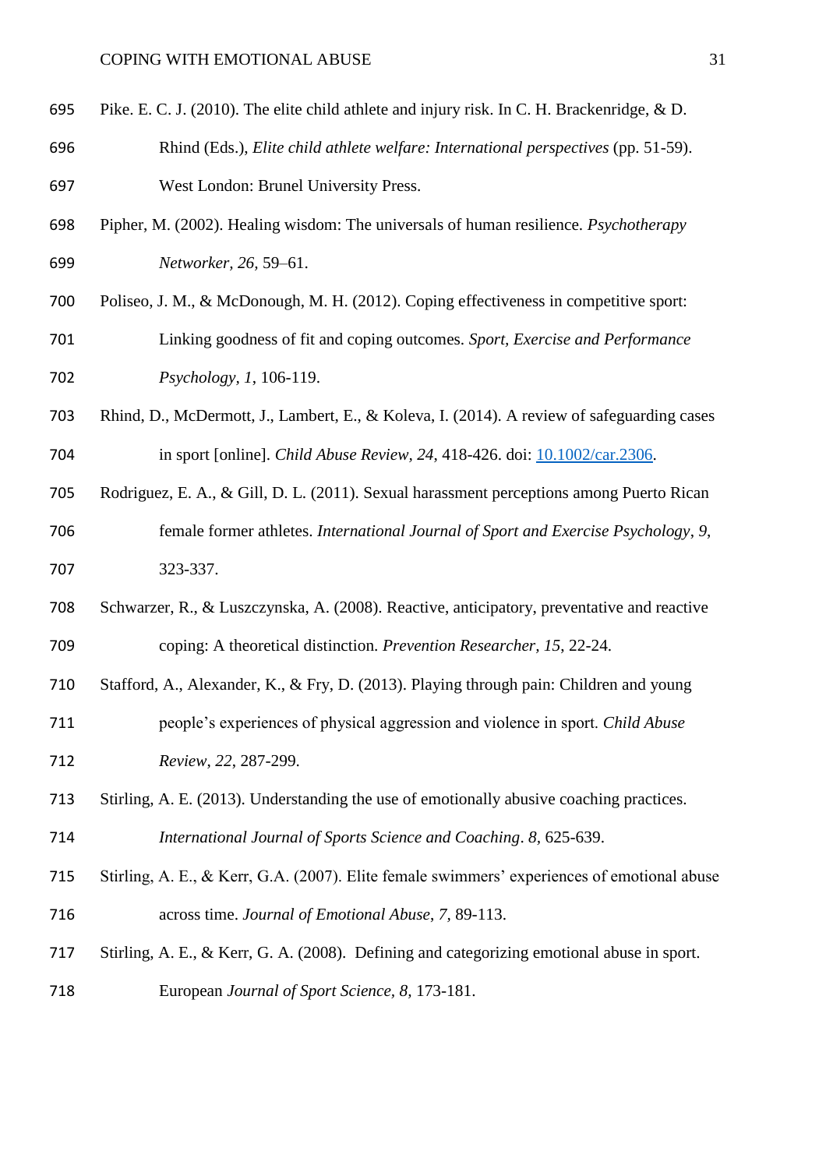- Pike. E. C. J. (2010). The elite child athlete and injury risk. In C. H. Brackenridge, & D.
- Rhind (Eds.), *Elite child athlete welfare: International perspectives* (pp. 51-59).
- West London: Brunel University Press.
- Pipher, M. (2002). Healing wisdom: The universals of human resilience. *Psychotherapy Networker, 26,* 59–61.
- Poliseo, J. M., & McDonough, M. H. (2012). Coping effectiveness in competitive sport:
- Linking goodness of fit and coping outcomes. *Sport, Exercise and Performance Psychology, 1*, 106-119.
- Rhind, D., McDermott, J., Lambert, E., & Koleva, I. (2014). A review of safeguarding cases in sport [online]. *Child Abuse Review, 24*, 418-426. doi: [10.1002/car.2306.](http://dx.doi.org/10.1002/car.2306)
- Rodriguez, E. A., & Gill, D. L. (2011). Sexual harassment perceptions among Puerto Rican female former athletes. *International Journal of Sport and Exercise Psychology*, *9*, 323-337.
- Schwarzer, R., & Luszczynska, A. (2008). Reactive, anticipatory, preventative and reactive coping: A theoretical distinction. *Prevention Researcher, 15*, 22-24.
- Stafford, A., Alexander, K., & Fry, D. (2013). Playing through pain: Children and young
- people's experiences of physical aggression and violence in sport. *Child Abuse Review*, *22*, 287-299.
- Stirling, A. E. (2013). Understanding the use of emotionally abusive coaching practices. *International Journal of Sports Science and Coaching*. *8,* 625-639.
- Stirling, A. E., & Kerr, G.A. (2007). Elite female swimmers' experiences of emotional abuse across time. *Journal of Emotional Abuse*, *7,* 89-113.
- Stirling, A. E., & Kerr, G. A. (2008). Defining and categorizing emotional abuse in sport. European *Journal of Sport Science, 8,* 173-181.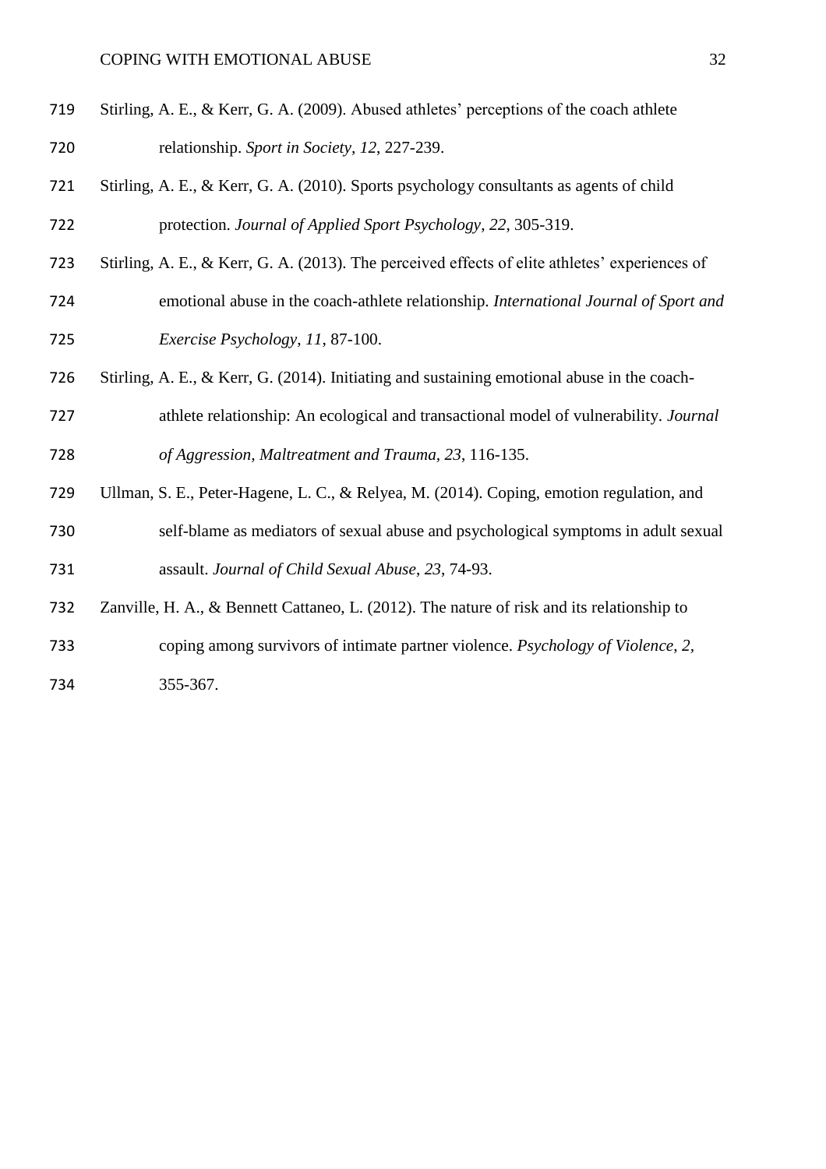- Stirling, A. E., & Kerr, G. A. (2009). Abused athletes' perceptions of the coach athlete relationship. *Sport in Society, 12*, 227-239.
- Stirling, A. E., & Kerr, G. A. (2010). Sports psychology consultants as agents of child protection. *Journal of Applied Sport Psychology*, *22*, 305-319.
- Stirling, A. E., & Kerr, G. A. (2013). The perceived effects of elite athletes' experiences of emotional abuse in the coach-athlete relationship. *International Journal of Sport and Exercise Psychology*, *11*, 87-100.
- Stirling, A. E., & Kerr, G. (2014). Initiating and sustaining emotional abuse in the coach-
- athlete relationship: An ecological and transactional model of vulnerability. *Journal of Aggression, Maltreatment and Trauma, 23*, 116-135.
- Ullman, S. E., Peter-Hagene, L. C., & Relyea, M. (2014). Coping, emotion regulation, and self-blame as mediators of sexual abuse and psychological symptoms in adult sexual assault. *Journal of Child Sexual Abuse*, *23*, 74-93.
- Zanville, H. A., & Bennett Cattaneo, L. (2012). The nature of risk and its relationship to
- coping among survivors of intimate partner violence. *Psychology of Violence*, *2,* 355-367.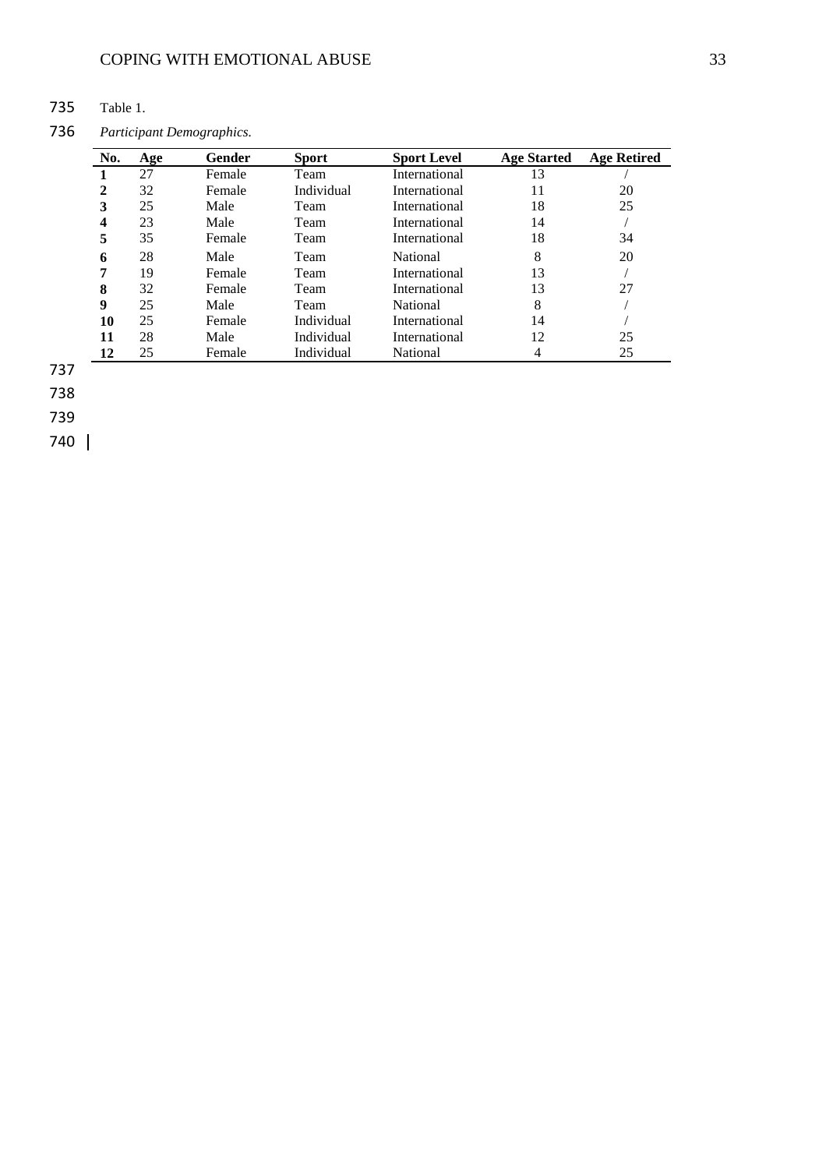| 735 | Table 1. |  |
|-----|----------|--|
|     |          |  |

# *Participant Demographics.*

| No. | Age | Gender | <b>Sport</b> | <b>Sport Level</b> | <b>Age Started</b> | <b>Age Retired</b> |
|-----|-----|--------|--------------|--------------------|--------------------|--------------------|
|     | 27  | Female | Team         | International      | 13                 |                    |
| 2   | 32  | Female | Individual   | International      | 11                 | 20                 |
| 3   | 25  | Male   | Team         | International      | 18                 | 25                 |
| 4   | 23  | Male   | Team         | International      | 14                 |                    |
| 5   | 35  | Female | Team         | International      | 18                 | 34                 |
| 6   | 28  | Male   | Team         | National           | 8                  | 20                 |
| 7   | 19  | Female | Team         | International      | 13                 |                    |
| 8   | 32  | Female | Team         | International      | 13                 | 27                 |
| 9   | 25  | Male   | Team         | National           | 8                  |                    |
| 10  | 25  | Female | Individual   | International      | 14                 |                    |
| 11  | 28  | Male   | Individual   | International      | 12                 | 25                 |
| 12  | 25  | Female | Individual   | National           | 4                  | 25                 |